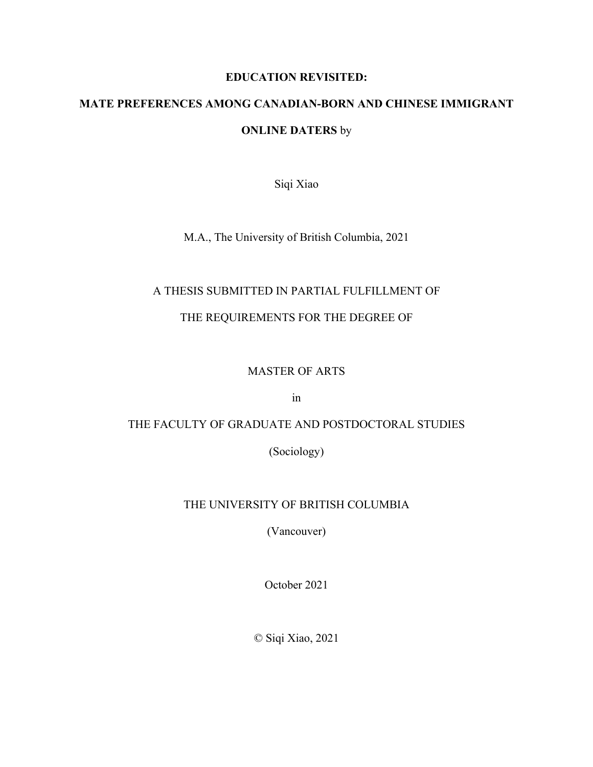## **EDUCATION REVISITED:**

# **MATE PREFERENCES AMONG CANADIAN-BORN AND CHINESE IMMIGRANT**

## **ONLINE DATERS** by

Siqi Xiao

M.A., The University of British Columbia, 2021

## A THESIS SUBMITTED IN PARTIAL FULFILLMENT OF

## THE REQUIREMENTS FOR THE DEGREE OF

## MASTER OF ARTS

in

## THE FACULTY OF GRADUATE AND POSTDOCTORAL STUDIES

(Sociology)

## THE UNIVERSITY OF BRITISH COLUMBIA

(Vancouver)

October 2021

© Siqi Xiao, 2021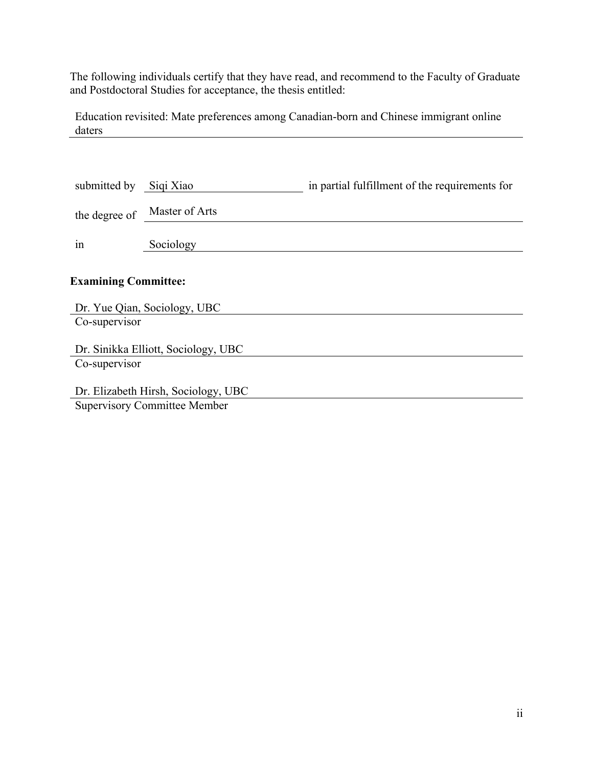The following individuals certify that they have read, and recommend to the Faculty of Graduate and Postdoctoral Studies for acceptance, the thesis entitled:

Education revisited: Mate preferences among Canadian-born and Chinese immigrant online daters

| submitted by                                  | Siqi Xiao      | in partial fulfillment of the requirements for |  |  |  |
|-----------------------------------------------|----------------|------------------------------------------------|--|--|--|
| the degree of                                 | Master of Arts |                                                |  |  |  |
| 1n                                            | Sociology      |                                                |  |  |  |
| <b>Examining Committee:</b>                   |                |                                                |  |  |  |
| Dr. Yue Qian, Sociology, UBC<br>Co-supervisor |                |                                                |  |  |  |
| Dr. Sinikka Elliott, Sociology, UBC           |                |                                                |  |  |  |
| Co-supervisor                                 |                |                                                |  |  |  |
| Dr. Elizabeth Hirsh, Sociology, UBC           |                |                                                |  |  |  |
| <b>Supervisory Committee Member</b>           |                |                                                |  |  |  |
|                                               |                |                                                |  |  |  |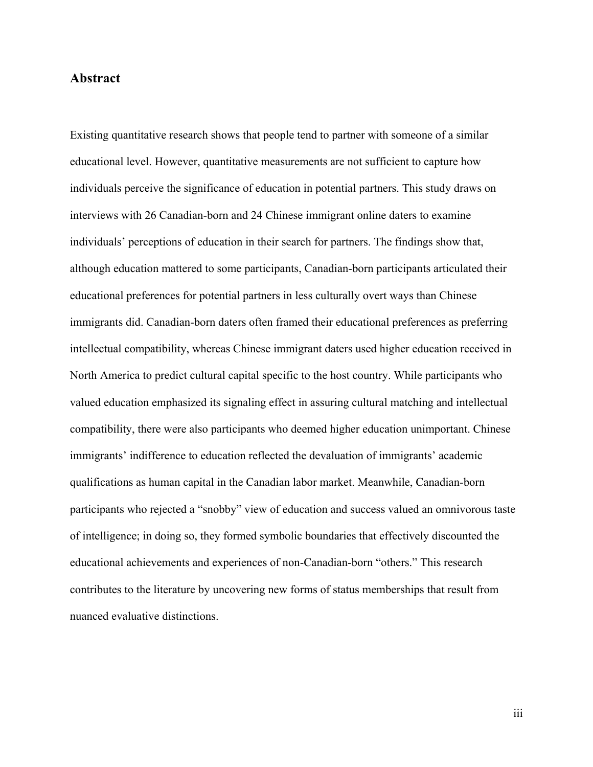## **Abstract**

Existing quantitative research shows that people tend to partner with someone of a similar educational level. However, quantitative measurements are not sufficient to capture how individuals perceive the significance of education in potential partners. This study draws on interviews with 26 Canadian-born and 24 Chinese immigrant online daters to examine individuals' perceptions of education in their search for partners. The findings show that, although education mattered to some participants, Canadian-born participants articulated their educational preferences for potential partners in less culturally overt ways than Chinese immigrants did. Canadian-born daters often framed their educational preferences as preferring intellectual compatibility, whereas Chinese immigrant daters used higher education received in North America to predict cultural capital specific to the host country. While participants who valued education emphasized its signaling effect in assuring cultural matching and intellectual compatibility, there were also participants who deemed higher education unimportant. Chinese immigrants' indifference to education reflected the devaluation of immigrants' academic qualifications as human capital in the Canadian labor market. Meanwhile, Canadian-born participants who rejected a "snobby" view of education and success valued an omnivorous taste of intelligence; in doing so, they formed symbolic boundaries that effectively discounted the educational achievements and experiences of non-Canadian-born "others." This research contributes to the literature by uncovering new forms of status memberships that result from nuanced evaluative distinctions.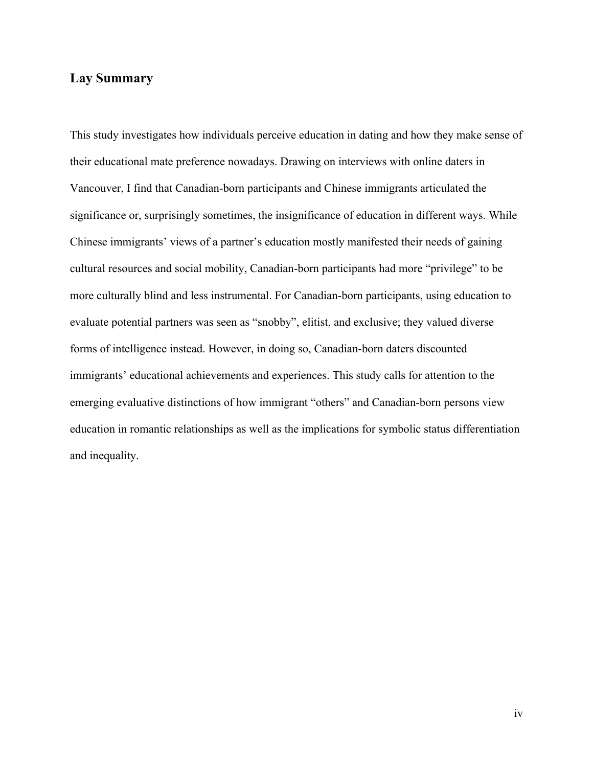## **Lay Summary**

This study investigates how individuals perceive education in dating and how they make sense of their educational mate preference nowadays. Drawing on interviews with online daters in Vancouver, I find that Canadian-born participants and Chinese immigrants articulated the significance or, surprisingly sometimes, the insignificance of education in different ways. While Chinese immigrants' views of a partner's education mostly manifested their needs of gaining cultural resources and social mobility, Canadian-born participants had more "privilege" to be more culturally blind and less instrumental. For Canadian-born participants, using education to evaluate potential partners was seen as "snobby", elitist, and exclusive; they valued diverse forms of intelligence instead. However, in doing so, Canadian-born daters discounted immigrants' educational achievements and experiences. This study calls for attention to the emerging evaluative distinctions of how immigrant "others" and Canadian-born persons view education in romantic relationships as well as the implications for symbolic status differentiation and inequality.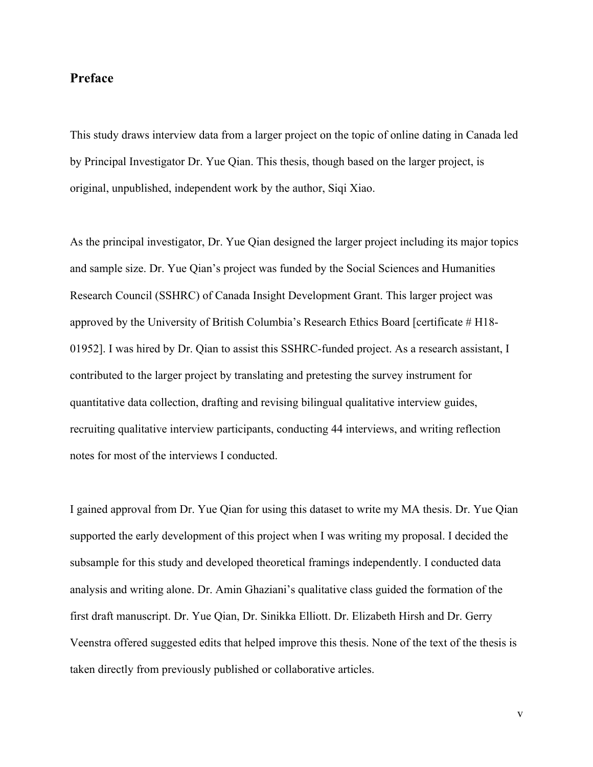## **Preface**

This study draws interview data from a larger project on the topic of online dating in Canada led by Principal Investigator Dr. Yue Qian. This thesis, though based on the larger project, is original, unpublished, independent work by the author, Siqi Xiao.

As the principal investigator, Dr. Yue Qian designed the larger project including its major topics and sample size. Dr. Yue Qian's project was funded by the Social Sciences and Humanities Research Council (SSHRC) of Canada Insight Development Grant. This larger project was approved by the University of British Columbia's Research Ethics Board [certificate # H18- 01952]. I was hired by Dr. Qian to assist this SSHRC-funded project. As a research assistant, I contributed to the larger project by translating and pretesting the survey instrument for quantitative data collection, drafting and revising bilingual qualitative interview guides, recruiting qualitative interview participants, conducting 44 interviews, and writing reflection notes for most of the interviews I conducted.

I gained approval from Dr. Yue Qian for using this dataset to write my MA thesis. Dr. Yue Qian supported the early development of this project when I was writing my proposal. I decided the subsample for this study and developed theoretical framings independently. I conducted data analysis and writing alone. Dr. Amin Ghaziani's qualitative class guided the formation of the first draft manuscript. Dr. Yue Qian, Dr. Sinikka Elliott. Dr. Elizabeth Hirsh and Dr. Gerry Veenstra offered suggested edits that helped improve this thesis. None of the text of the thesis is taken directly from previously published or collaborative articles.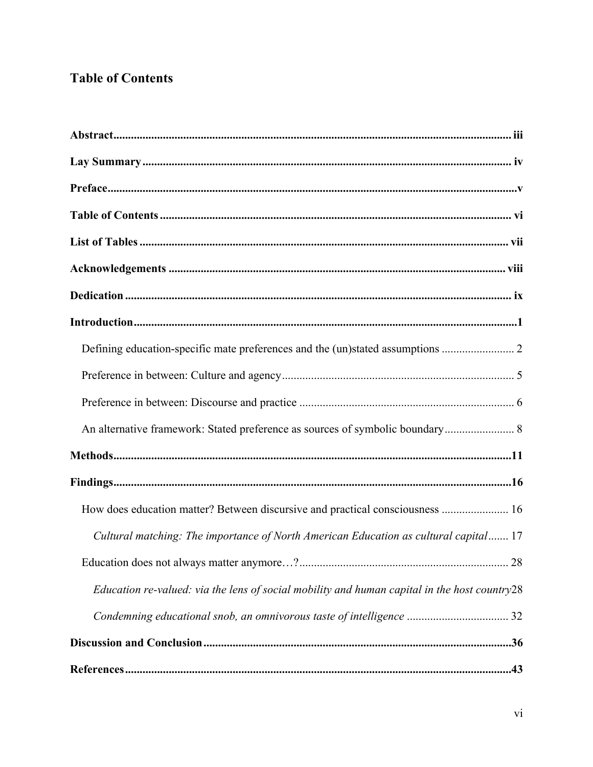## **Table of Contents**

| An alternative framework: Stated preference as sources of symbolic boundary 8                |
|----------------------------------------------------------------------------------------------|
|                                                                                              |
|                                                                                              |
| How does education matter? Between discursive and practical consciousness  16                |
| Cultural matching: The importance of North American Education as cultural capital 17         |
|                                                                                              |
| Education re-valued: via the lens of social mobility and human capital in the host country28 |
| Condemning educational snob, an omnivorous taste of intelligence  32                         |
|                                                                                              |
|                                                                                              |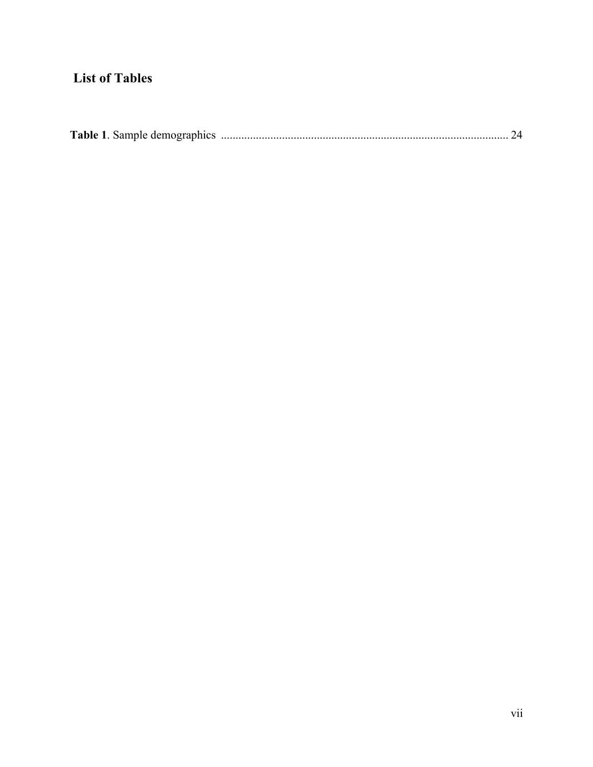## **List of Tables**

|--|--|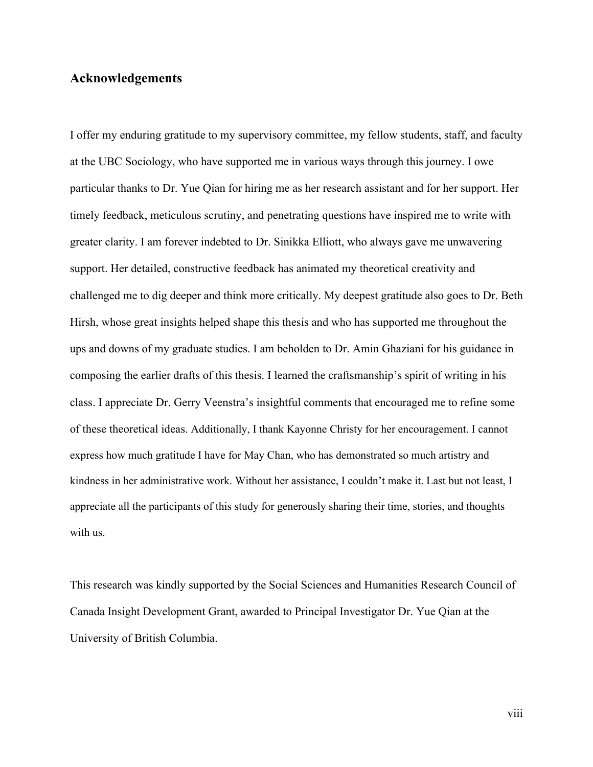## **Acknowledgements**

I offer my enduring gratitude to my supervisory committee, my fellow students, staff, and faculty at the UBC Sociology, who have supported me in various ways through this journey. I owe particular thanks to Dr. Yue Qian for hiring me as her research assistant and for her support. Her timely feedback, meticulous scrutiny, and penetrating questions have inspired me to write with greater clarity. I am forever indebted to Dr. Sinikka Elliott, who always gave me unwavering support. Her detailed, constructive feedback has animated my theoretical creativity and challenged me to dig deeper and think more critically. My deepest gratitude also goes to Dr. Beth Hirsh, whose great insights helped shape this thesis and who has supported me throughout the ups and downs of my graduate studies. I am beholden to Dr. Amin Ghaziani for his guidance in composing the earlier drafts of this thesis. I learned the craftsmanship's spirit of writing in his class. I appreciate Dr. Gerry Veenstra's insightful comments that encouraged me to refine some of these theoretical ideas. Additionally, I thank Kayonne Christy for her encouragement. I cannot express how much gratitude I have for May Chan, who has demonstrated so much artistry and kindness in her administrative work. Without her assistance, I couldn't make it. Last but not least, I appreciate all the participants of this study for generously sharing their time, stories, and thoughts with us.

This research was kindly supported by the Social Sciences and Humanities Research Council of Canada Insight Development Grant, awarded to Principal Investigator Dr. Yue Qian at the University of British Columbia.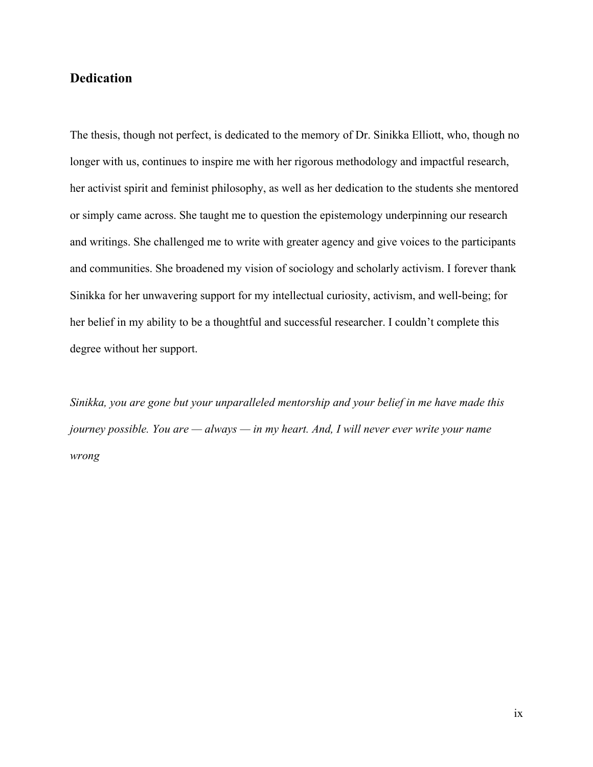## **Dedication**

The thesis, though not perfect, is dedicated to the memory of Dr. Sinikka Elliott, who, though no longer with us, continues to inspire me with her rigorous methodology and impactful research, her activist spirit and feminist philosophy, as well as her dedication to the students she mentored or simply came across. She taught me to question the epistemology underpinning our research and writings. She challenged me to write with greater agency and give voices to the participants and communities. She broadened my vision of sociology and scholarly activism. I forever thank Sinikka for her unwavering support for my intellectual curiosity, activism, and well-being; for her belief in my ability to be a thoughtful and successful researcher. I couldn't complete this degree without her support.

*Sinikka, you are gone but your unparalleled mentorship and your belief in me have made this journey possible. You are — always — in my heart. And, I will never ever write your name wrong*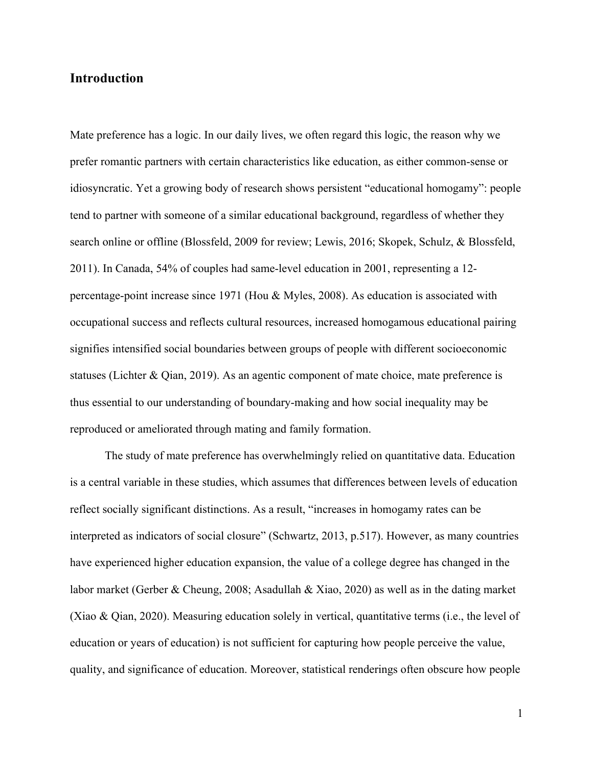## **Introduction**

Mate preference has a logic. In our daily lives, we often regard this logic, the reason why we prefer romantic partners with certain characteristics like education, as either common-sense or idiosyncratic. Yet a growing body of research shows persistent "educational homogamy": people tend to partner with someone of a similar educational background, regardless of whether they search online or offline (Blossfeld, 2009 for review; Lewis, 2016; Skopek, Schulz, & Blossfeld, 2011). In Canada, 54% of couples had same-level education in 2001, representing a 12 percentage-point increase since 1971 (Hou & Myles, 2008). As education is associated with occupational success and reflects cultural resources, increased homogamous educational pairing signifies intensified social boundaries between groups of people with different socioeconomic statuses (Lichter & Qian, 2019). As an agentic component of mate choice, mate preference is thus essential to our understanding of boundary-making and how social inequality may be reproduced or ameliorated through mating and family formation.

The study of mate preference has overwhelmingly relied on quantitative data. Education is a central variable in these studies, which assumes that differences between levels of education reflect socially significant distinctions. As a result, "increases in homogamy rates can be interpreted as indicators of social closure" (Schwartz, 2013, p.517). However, as many countries have experienced higher education expansion, the value of a college degree has changed in the labor market (Gerber & Cheung, 2008; Asadullah & Xiao, 2020) as well as in the dating market (Xiao & Qian, 2020). Measuring education solely in vertical, quantitative terms (i.e., the level of education or years of education) is not sufficient for capturing how people perceive the value, quality, and significance of education. Moreover, statistical renderings often obscure how people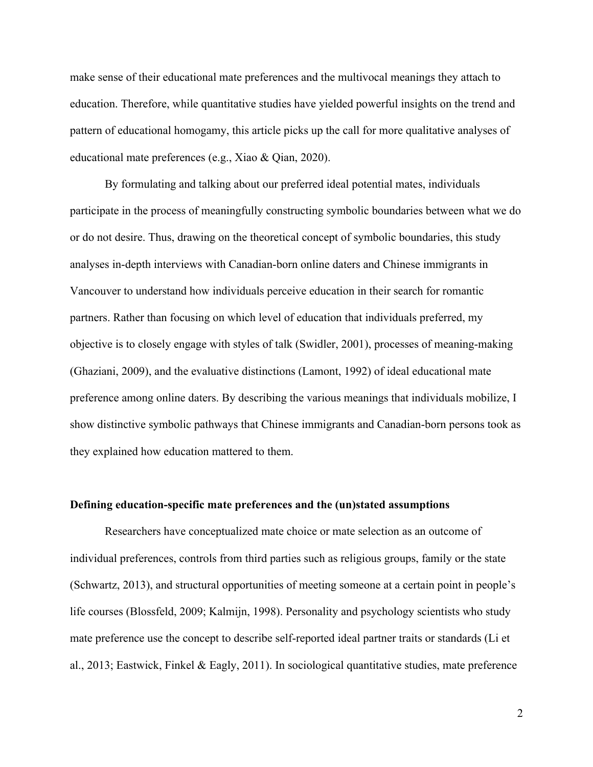make sense of their educational mate preferences and the multivocal meanings they attach to education. Therefore, while quantitative studies have yielded powerful insights on the trend and pattern of educational homogamy, this article picks up the call for more qualitative analyses of educational mate preferences (e.g., Xiao & Qian, 2020).

By formulating and talking about our preferred ideal potential mates, individuals participate in the process of meaningfully constructing symbolic boundaries between what we do or do not desire. Thus, drawing on the theoretical concept of symbolic boundaries, this study analyses in-depth interviews with Canadian-born online daters and Chinese immigrants in Vancouver to understand how individuals perceive education in their search for romantic partners. Rather than focusing on which level of education that individuals preferred, my objective is to closely engage with styles of talk (Swidler, 2001), processes of meaning-making (Ghaziani, 2009), and the evaluative distinctions (Lamont, 1992) of ideal educational mate preference among online daters. By describing the various meanings that individuals mobilize, I show distinctive symbolic pathways that Chinese immigrants and Canadian-born persons took as they explained how education mattered to them.

#### **Defining education-specific mate preferences and the (un)stated assumptions**

Researchers have conceptualized mate choice or mate selection as an outcome of individual preferences, controls from third parties such as religious groups, family or the state (Schwartz, 2013), and structural opportunities of meeting someone at a certain point in people's life courses (Blossfeld, 2009; Kalmijn, 1998). Personality and psychology scientists who study mate preference use the concept to describe self-reported ideal partner traits or standards (Li et al., 2013; Eastwick, Finkel & Eagly, 2011). In sociological quantitative studies, mate preference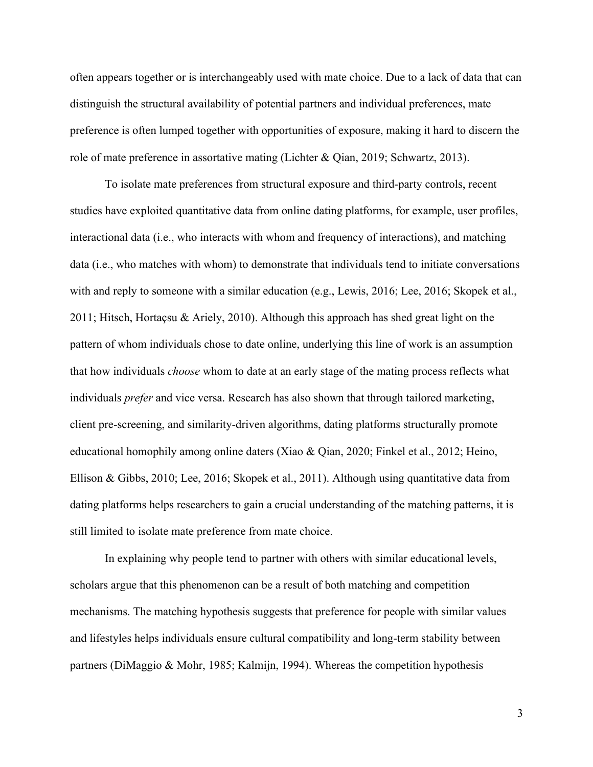often appears together or is interchangeably used with mate choice. Due to a lack of data that can distinguish the structural availability of potential partners and individual preferences, mate preference is often lumped together with opportunities of exposure, making it hard to discern the role of mate preference in assortative mating (Lichter & Qian, 2019; Schwartz, 2013).

To isolate mate preferences from structural exposure and third-party controls, recent studies have exploited quantitative data from online dating platforms, for example, user profiles, interactional data (i.e., who interacts with whom and frequency of interactions), and matching data (i.e., who matches with whom) to demonstrate that individuals tend to initiate conversations with and reply to someone with a similar education (e.g., Lewis, 2016; Lee, 2016; Skopek et al., 2011; Hitsch, Hortaçsu & Ariely, 2010). Although this approach has shed great light on the pattern of whom individuals chose to date online, underlying this line of work is an assumption that how individuals *choose* whom to date at an early stage of the mating process reflects what individuals *prefer* and vice versa. Research has also shown that through tailored marketing, client pre-screening, and similarity-driven algorithms, dating platforms structurally promote educational homophily among online daters (Xiao & Qian, 2020; Finkel et al., 2012; Heino, Ellison & Gibbs, 2010; Lee, 2016; Skopek et al., 2011). Although using quantitative data from dating platforms helps researchers to gain a crucial understanding of the matching patterns, it is still limited to isolate mate preference from mate choice.

In explaining why people tend to partner with others with similar educational levels, scholars argue that this phenomenon can be a result of both matching and competition mechanisms. The matching hypothesis suggests that preference for people with similar values and lifestyles helps individuals ensure cultural compatibility and long-term stability between partners (DiMaggio & Mohr, 1985; Kalmijn, 1994). Whereas the competition hypothesis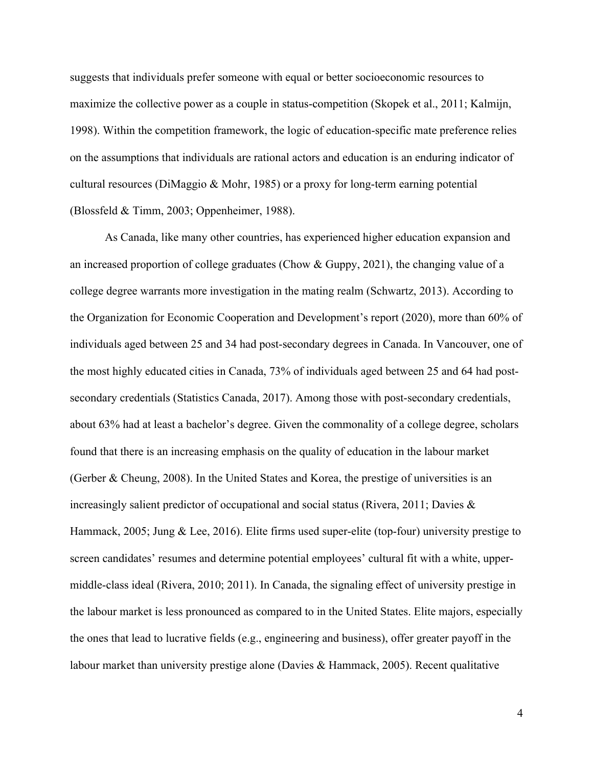suggests that individuals prefer someone with equal or better socioeconomic resources to maximize the collective power as a couple in status-competition (Skopek et al., 2011; Kalmijn, 1998). Within the competition framework, the logic of education-specific mate preference relies on the assumptions that individuals are rational actors and education is an enduring indicator of cultural resources (DiMaggio & Mohr, 1985) or a proxy for long-term earning potential (Blossfeld & Timm, 2003; Oppenheimer, 1988).

As Canada, like many other countries, has experienced higher education expansion and an increased proportion of college graduates (Chow & Guppy, 2021), the changing value of a college degree warrants more investigation in the mating realm (Schwartz, 2013). According to the Organization for Economic Cooperation and Development's report (2020), more than 60% of individuals aged between 25 and 34 had post-secondary degrees in Canada. In Vancouver, one of the most highly educated cities in Canada, 73% of individuals aged between 25 and 64 had postsecondary credentials (Statistics Canada, 2017). Among those with post-secondary credentials, about 63% had at least a bachelor's degree. Given the commonality of a college degree, scholars found that there is an increasing emphasis on the quality of education in the labour market (Gerber & Cheung, 2008). In the United States and Korea, the prestige of universities is an increasingly salient predictor of occupational and social status (Rivera, 2011; Davies & Hammack, 2005; Jung & Lee, 2016). Elite firms used super-elite (top-four) university prestige to screen candidates' resumes and determine potential employees' cultural fit with a white, uppermiddle-class ideal (Rivera, 2010; 2011). In Canada, the signaling effect of university prestige in the labour market is less pronounced as compared to in the United States. Elite majors, especially the ones that lead to lucrative fields (e.g., engineering and business), offer greater payoff in the labour market than university prestige alone (Davies & Hammack, 2005). Recent qualitative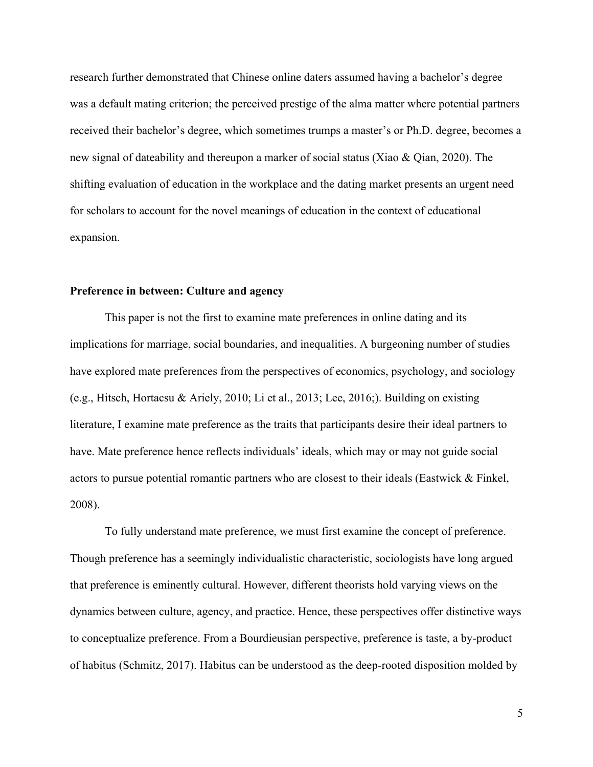research further demonstrated that Chinese online daters assumed having a bachelor's degree was a default mating criterion; the perceived prestige of the alma matter where potential partners received their bachelor's degree, which sometimes trumps a master's or Ph.D. degree, becomes a new signal of dateability and thereupon a marker of social status (Xiao & Qian, 2020). The shifting evaluation of education in the workplace and the dating market presents an urgent need for scholars to account for the novel meanings of education in the context of educational expansion.

#### **Preference in between: Culture and agency**

This paper is not the first to examine mate preferences in online dating and its implications for marriage, social boundaries, and inequalities. A burgeoning number of studies have explored mate preferences from the perspectives of economics, psychology, and sociology (e.g., Hitsch, Hortacsu & Ariely, 2010; Li et al., 2013; Lee, 2016;). Building on existing literature, I examine mate preference as the traits that participants desire their ideal partners to have. Mate preference hence reflects individuals' ideals, which may or may not guide social actors to pursue potential romantic partners who are closest to their ideals (Eastwick & Finkel, 2008).

To fully understand mate preference, we must first examine the concept of preference. Though preference has a seemingly individualistic characteristic, sociologists have long argued that preference is eminently cultural. However, different theorists hold varying views on the dynamics between culture, agency, and practice. Hence, these perspectives offer distinctive ways to conceptualize preference. From a Bourdieusian perspective, preference is taste, a by-product of habitus (Schmitz, 2017). Habitus can be understood as the deep-rooted disposition molded by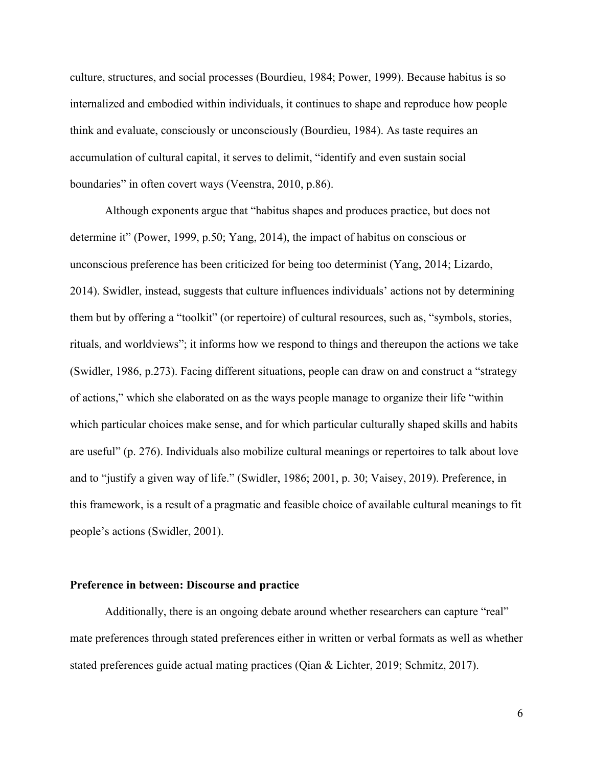culture, structures, and social processes (Bourdieu, 1984; Power, 1999). Because habitus is so internalized and embodied within individuals, it continues to shape and reproduce how people think and evaluate, consciously or unconsciously (Bourdieu, 1984). As taste requires an accumulation of cultural capital, it serves to delimit, "identify and even sustain social boundaries" in often covert ways (Veenstra, 2010, p.86).

Although exponents argue that "habitus shapes and produces practice, but does not determine it" (Power, 1999, p.50; Yang, 2014), the impact of habitus on conscious or unconscious preference has been criticized for being too determinist (Yang, 2014; Lizardo, 2014). Swidler, instead, suggests that culture influences individuals' actions not by determining them but by offering a "toolkit" (or repertoire) of cultural resources, such as, "symbols, stories, rituals, and worldviews"; it informs how we respond to things and thereupon the actions we take (Swidler, 1986, p.273). Facing different situations, people can draw on and construct a "strategy of actions," which she elaborated on as the ways people manage to organize their life "within which particular choices make sense, and for which particular culturally shaped skills and habits are useful" (p. 276). Individuals also mobilize cultural meanings or repertoires to talk about love and to "justify a given way of life." (Swidler, 1986; 2001, p. 30; Vaisey, 2019). Preference, in this framework, is a result of a pragmatic and feasible choice of available cultural meanings to fit people's actions (Swidler, 2001).

#### **Preference in between: Discourse and practice**

Additionally, there is an ongoing debate around whether researchers can capture "real" mate preferences through stated preferences either in written or verbal formats as well as whether stated preferences guide actual mating practices (Qian & Lichter, 2019; Schmitz, 2017).

 $\sim$  600  $\sim$  600  $\sim$  600  $\sim$  600  $\sim$  600  $\sim$  600  $\sim$  600  $\sim$  600  $\sim$  600  $\sim$  600  $\sim$  600  $\sim$  600  $\sim$  600  $\sim$  600  $\sim$  600  $\sim$  600  $\sim$  600  $\sim$  600  $\sim$  600  $\sim$  600  $\sim$  600  $\sim$  600  $\sim$  600  $\sim$  600  $\sim$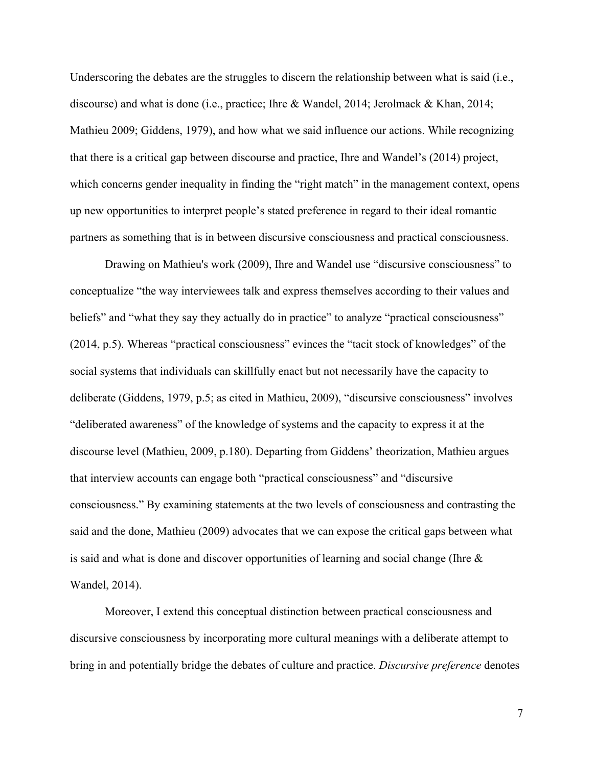Underscoring the debates are the struggles to discern the relationship between what is said (i.e., discourse) and what is done (i.e., practice; Ihre & Wandel, 2014; Jerolmack & Khan, 2014; Mathieu 2009; Giddens, 1979), and how what we said influence our actions. While recognizing that there is a critical gap between discourse and practice, Ihre and Wandel's (2014) project, which concerns gender inequality in finding the "right match" in the management context, opens up new opportunities to interpret people's stated preference in regard to their ideal romantic partners as something that is in between discursive consciousness and practical consciousness.

Drawing on Mathieu's work (2009), Ihre and Wandel use "discursive consciousness" to conceptualize "the way interviewees talk and express themselves according to their values and beliefs" and "what they say they actually do in practice" to analyze "practical consciousness" (2014, p.5). Whereas "practical consciousness" evinces the "tacit stock of knowledges" of the social systems that individuals can skillfully enact but not necessarily have the capacity to deliberate (Giddens, 1979, p.5; as cited in Mathieu, 2009), "discursive consciousness" involves "deliberated awareness" of the knowledge of systems and the capacity to express it at the discourse level (Mathieu, 2009, p.180). Departing from Giddens' theorization, Mathieu argues that interview accounts can engage both "practical consciousness" and "discursive consciousness." By examining statements at the two levels of consciousness and contrasting the said and the done, Mathieu (2009) advocates that we can expose the critical gaps between what is said and what is done and discover opportunities of learning and social change (Ihre & Wandel, 2014).

Moreover, I extend this conceptual distinction between practical consciousness and discursive consciousness by incorporating more cultural meanings with a deliberate attempt to bring in and potentially bridge the debates of culture and practice. *Discursive preference* denotes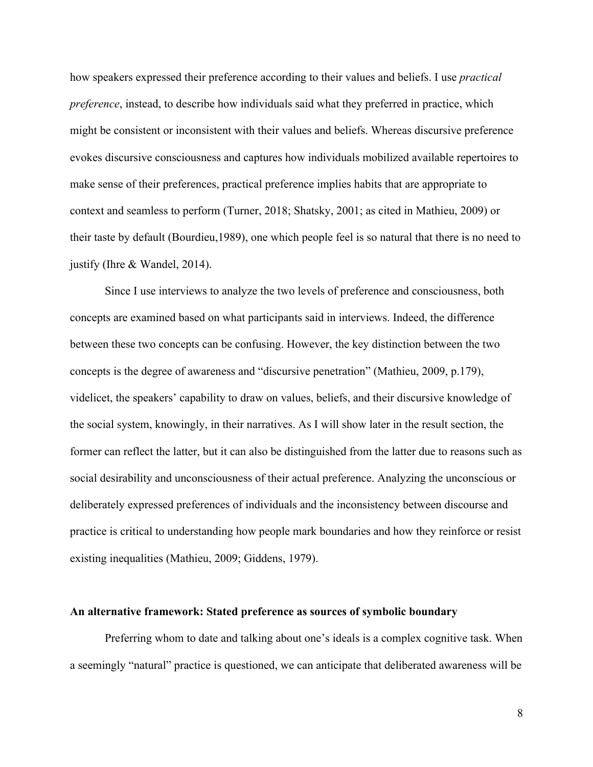how speakers expressed their preference according to their values and beliefs. I use *practical preference*, instead, to describe how individuals said what they preferred in practice, which might be consistent or inconsistent with their values and beliefs. Whereas discursive preference evokes discursive consciousness and captures how individuals mobilized available repertoires to make sense of their preferences, practical preference implies habits that are appropriate to context and seamless to perform (Turner, 2018; Shatsky, 2001; as cited in Mathieu, 2009) or their taste by default (Bourdieu,1989), one which people feel is so natural that there is no need to justify (Ihre & Wandel, 2014).

Since I use interviews to analyze the two levels of preference and consciousness, both concepts are examined based on what participants said in interviews. Indeed, the difference between these two concepts can be confusing. However, the key distinction between the two concepts is the degree of awareness and "discursive penetration" (Mathieu, 2009, p.179), videlicet, the speakers' capability to draw on values, beliefs, and their discursive knowledge of the social system, knowingly, in their narratives. As I will show later in the result section, the former can reflect the latter, but it can also be distinguished from the latter due to reasons such as social desirability and unconsciousness of their actual preference. Analyzing the unconscious or deliberately expressed preferences of individuals and the inconsistency between discourse and practice is critical to understanding how people mark boundaries and how they reinforce or resist existing inequalities (Mathieu, 2009; Giddens, 1979).

#### **An alternative framework: Stated preference as sources of symbolic boundary**

Preferring whom to date and talking about one's ideals is a complex cognitive task. When a seemingly "natural" practice is questioned, we can anticipate that deliberated awareness will be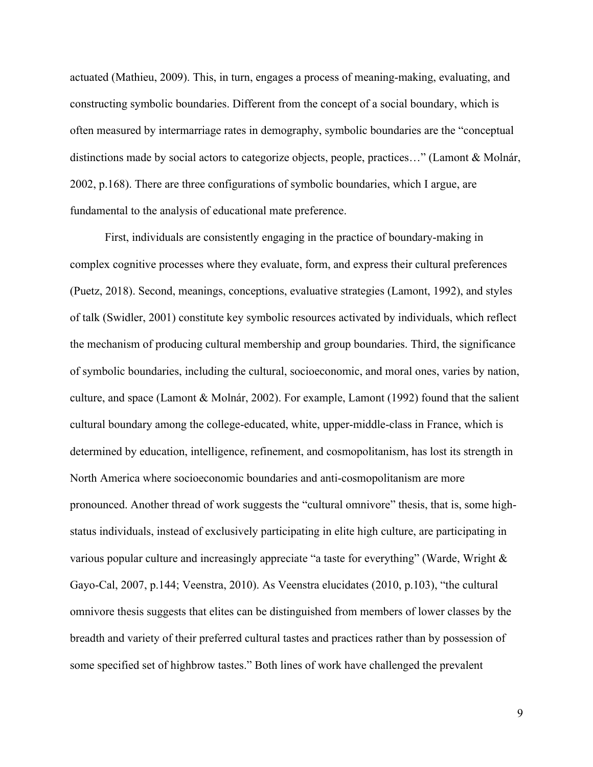actuated (Mathieu, 2009). This, in turn, engages a process of meaning-making, evaluating, and constructing symbolic boundaries. Different from the concept of a social boundary, which is often measured by intermarriage rates in demography, symbolic boundaries are the "conceptual distinctions made by social actors to categorize objects, people, practices…" (Lamont & Molnár, 2002, p.168). There are three configurations of symbolic boundaries, which I argue, are fundamental to the analysis of educational mate preference.

First, individuals are consistently engaging in the practice of boundary-making in complex cognitive processes where they evaluate, form, and express their cultural preferences (Puetz, 2018). Second, meanings, conceptions, evaluative strategies (Lamont, 1992), and styles of talk (Swidler, 2001) constitute key symbolic resources activated by individuals, which reflect the mechanism of producing cultural membership and group boundaries. Third, the significance of symbolic boundaries, including the cultural, socioeconomic, and moral ones, varies by nation, culture, and space (Lamont & Molnár, 2002). For example, Lamont (1992) found that the salient cultural boundary among the college-educated, white, upper-middle-class in France, which is determined by education, intelligence, refinement, and cosmopolitanism, has lost its strength in North America where socioeconomic boundaries and anti-cosmopolitanism are more pronounced. Another thread of work suggests the "cultural omnivore" thesis, that is, some highstatus individuals, instead of exclusively participating in elite high culture, are participating in various popular culture and increasingly appreciate "a taste for everything" (Warde, Wright & Gayo-Cal, 2007, p.144; Veenstra, 2010). As Veenstra elucidates (2010, p.103), "the cultural omnivore thesis suggests that elites can be distinguished from members of lower classes by the breadth and variety of their preferred cultural tastes and practices rather than by possession of some specified set of highbrow tastes." Both lines of work have challenged the prevalent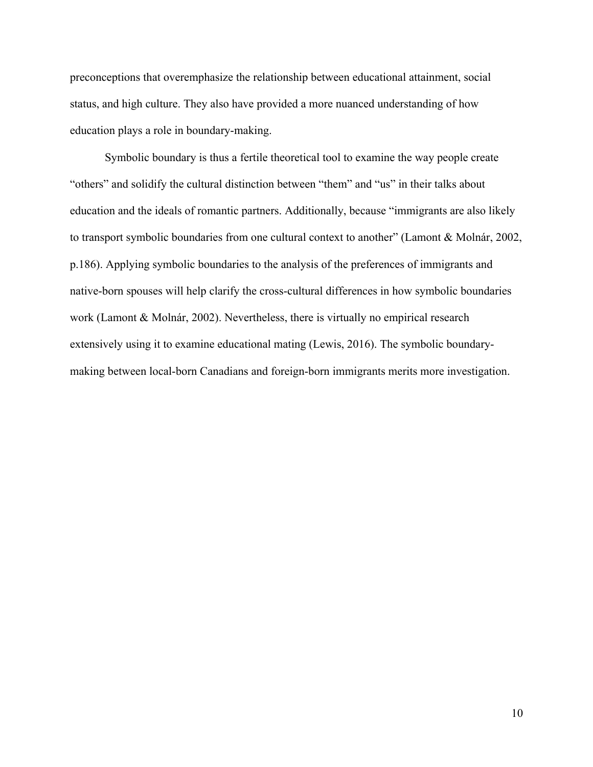preconceptions that overemphasize the relationship between educational attainment, social status, and high culture. They also have provided a more nuanced understanding of how education plays a role in boundary-making.

Symbolic boundary is thus a fertile theoretical tool to examine the way people create "others" and solidify the cultural distinction between "them" and "us" in their talks about education and the ideals of romantic partners. Additionally, because "immigrants are also likely to transport symbolic boundaries from one cultural context to another" (Lamont & Molnár, 2002, p.186). Applying symbolic boundaries to the analysis of the preferences of immigrants and native-born spouses will help clarify the cross-cultural differences in how symbolic boundaries work (Lamont & Molnár, 2002). Nevertheless, there is virtually no empirical research extensively using it to examine educational mating (Lewis, 2016). The symbolic boundarymaking between local-born Canadians and foreign-born immigrants merits more investigation.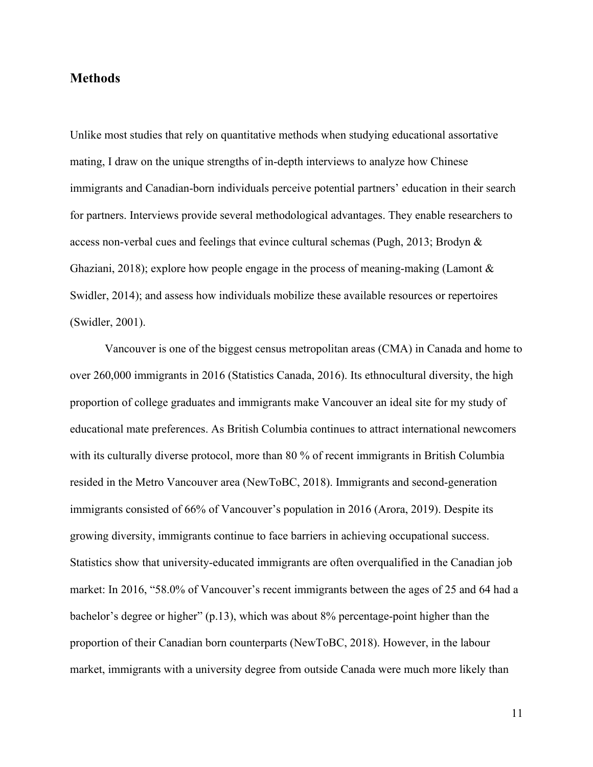### **Methods**

Unlike most studies that rely on quantitative methods when studying educational assortative mating, I draw on the unique strengths of in-depth interviews to analyze how Chinese immigrants and Canadian-born individuals perceive potential partners' education in their search for partners. Interviews provide several methodological advantages. They enable researchers to access non-verbal cues and feelings that evince cultural schemas (Pugh, 2013; Brodyn & Ghaziani, 2018); explore how people engage in the process of meaning-making (Lamont & Swidler, 2014); and assess how individuals mobilize these available resources or repertoires (Swidler, 2001).

Vancouver is one of the biggest census metropolitan areas (CMA) in Canada and home to over 260,000 immigrants in 2016 (Statistics Canada, 2016). Its ethnocultural diversity, the high proportion of college graduates and immigrants make Vancouver an ideal site for my study of educational mate preferences. As British Columbia continues to attract international newcomers with its culturally diverse protocol, more than 80 % of recent immigrants in British Columbia resided in the Metro Vancouver area (NewToBC, 2018). Immigrants and second-generation immigrants consisted of 66% of Vancouver's population in 2016 (Arora, 2019). Despite its growing diversity, immigrants continue to face barriers in achieving occupational success. Statistics show that university-educated immigrants are often overqualified in the Canadian job market: In 2016, "58.0% of Vancouver's recent immigrants between the ages of 25 and 64 had a bachelor's degree or higher" (p.13), which was about 8% percentage-point higher than the proportion of their Canadian born counterparts (NewToBC, 2018). However, in the labour market, immigrants with a university degree from outside Canada were much more likely than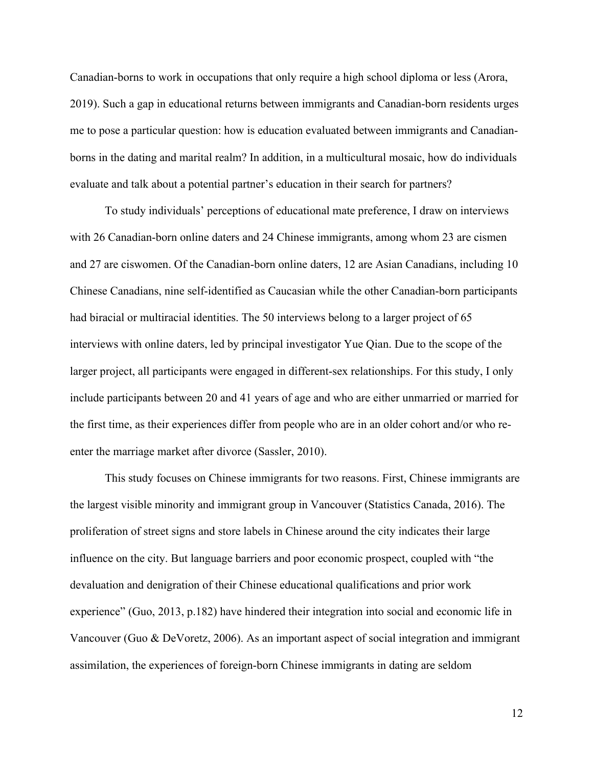Canadian-borns to work in occupations that only require a high school diploma or less (Arora, 2019). Such a gap in educational returns between immigrants and Canadian-born residents urges me to pose a particular question: how is education evaluated between immigrants and Canadianborns in the dating and marital realm? In addition, in a multicultural mosaic, how do individuals evaluate and talk about a potential partner's education in their search for partners?

To study individuals' perceptions of educational mate preference, I draw on interviews with 26 Canadian-born online daters and 24 Chinese immigrants, among whom 23 are cismen and 27 are ciswomen. Of the Canadian-born online daters, 12 are Asian Canadians, including 10 Chinese Canadians, nine self-identified as Caucasian while the other Canadian-born participants had biracial or multiracial identities. The 50 interviews belong to a larger project of 65 interviews with online daters, led by principal investigator Yue Qian. Due to the scope of the larger project, all participants were engaged in different-sex relationships. For this study, I only include participants between 20 and 41 years of age and who are either unmarried or married for the first time, as their experiences differ from people who are in an older cohort and/or who reenter the marriage market after divorce (Sassler, 2010).

This study focuses on Chinese immigrants for two reasons. First, Chinese immigrants are the largest visible minority and immigrant group in Vancouver (Statistics Canada, 2016). The proliferation of street signs and store labels in Chinese around the city indicates their large influence on the city. But language barriers and poor economic prospect, coupled with "the devaluation and denigration of their Chinese educational qualifications and prior work experience" (Guo, 2013, p.182) have hindered their integration into social and economic life in Vancouver (Guo & DeVoretz, 2006). As an important aspect of social integration and immigrant assimilation, the experiences of foreign-born Chinese immigrants in dating are seldom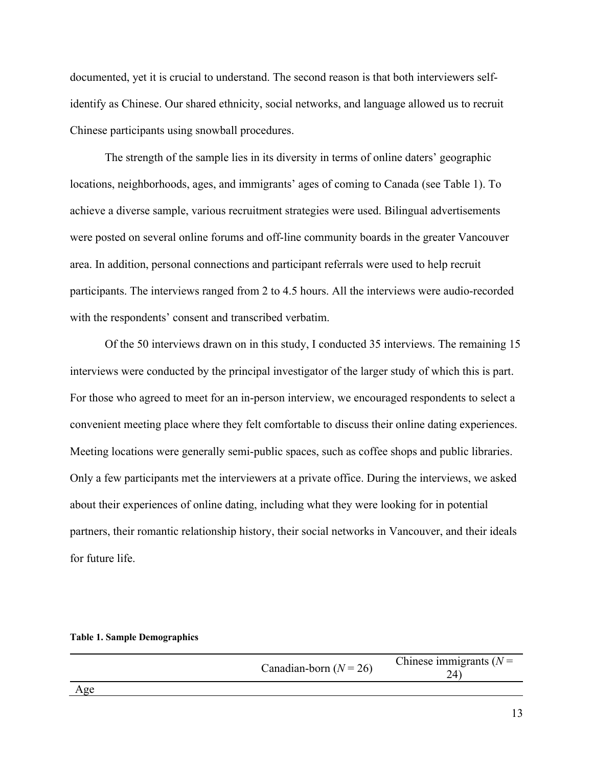documented, yet it is crucial to understand. The second reason is that both interviewers selfidentify as Chinese. Our shared ethnicity, social networks, and language allowed us to recruit Chinese participants using snowball procedures.

The strength of the sample lies in its diversity in terms of online daters' geographic locations, neighborhoods, ages, and immigrants' ages of coming to Canada (see Table 1). To achieve a diverse sample, various recruitment strategies were used. Bilingual advertisements were posted on several online forums and off-line community boards in the greater Vancouver area. In addition, personal connections and participant referrals were used to help recruit participants. The interviews ranged from 2 to 4.5 hours. All the interviews were audio-recorded with the respondents' consent and transcribed verbatim.

Of the 50 interviews drawn on in this study, I conducted 35 interviews. The remaining 15 interviews were conducted by the principal investigator of the larger study of which this is part. For those who agreed to meet for an in-person interview, we encouraged respondents to select a convenient meeting place where they felt comfortable to discuss their online dating experiences. Meeting locations were generally semi-public spaces, such as coffee shops and public libraries. Only a few participants met the interviewers at a private office. During the interviews, we asked about their experiences of online dating, including what they were looking for in potential partners, their romantic relationship history, their social networks in Vancouver, and their ideals for future life.

|  |  | <b>Table 1. Sample Demographics</b> |
|--|--|-------------------------------------|
|--|--|-------------------------------------|

|     | Canadian-born $(N = 26)$ | Chinese immigrants $(N =$ |
|-----|--------------------------|---------------------------|
| Age |                          |                           |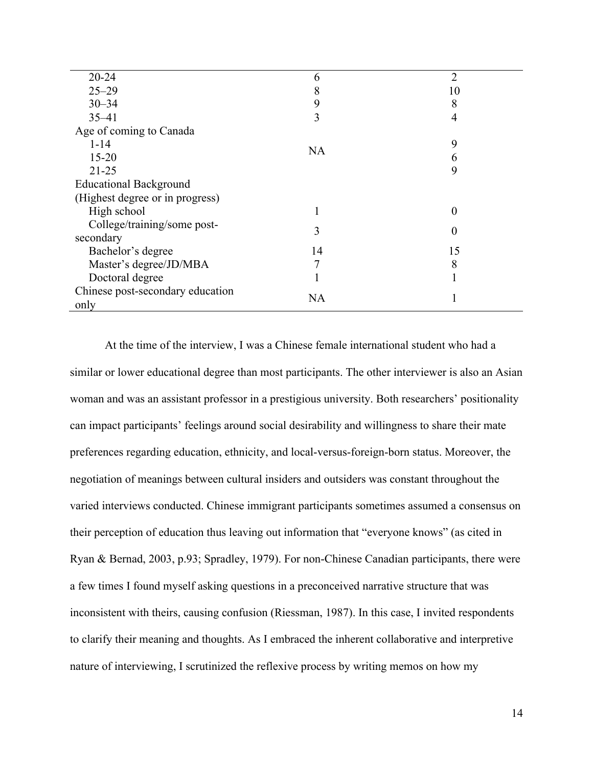| $20 - 24$                        | 6         | $\overline{2}$ |
|----------------------------------|-----------|----------------|
| $25 - 29$                        | 8         | 10             |
| $30 - 34$                        | 9         | 8              |
| $35 - 41$                        | 3         | 4              |
| Age of coming to Canada          |           |                |
| $1 - 14$                         | <b>NA</b> | 9              |
| $15 - 20$                        |           | 6              |
| $21 - 25$                        |           | 9              |
| <b>Educational Background</b>    |           |                |
| (Highest degree or in progress)  |           |                |
| High school                      |           | 0              |
| College/training/some post-      | 3         | 0              |
| secondary                        |           |                |
| Bachelor's degree                | 14        | 15             |
| Master's degree/JD/MBA           | 7         | 8              |
| Doctoral degree                  |           |                |
| Chinese post-secondary education | <b>NA</b> |                |
| only                             |           |                |

At the time of the interview, I was a Chinese female international student who had a similar or lower educational degree than most participants. The other interviewer is also an Asian woman and was an assistant professor in a prestigious university. Both researchers' positionality can impact participants' feelings around social desirability and willingness to share their mate preferences regarding education, ethnicity, and local-versus-foreign-born status. Moreover, the negotiation of meanings between cultural insiders and outsiders was constant throughout the varied interviews conducted. Chinese immigrant participants sometimes assumed a consensus on their perception of education thus leaving out information that "everyone knows" (as cited in Ryan & Bernad, 2003, p.93; Spradley, 1979). For non-Chinese Canadian participants, there were a few times I found myself asking questions in a preconceived narrative structure that was inconsistent with theirs, causing confusion (Riessman, 1987). In this case, I invited respondents to clarify their meaning and thoughts. As I embraced the inherent collaborative and interpretive nature of interviewing, I scrutinized the reflexive process by writing memos on how my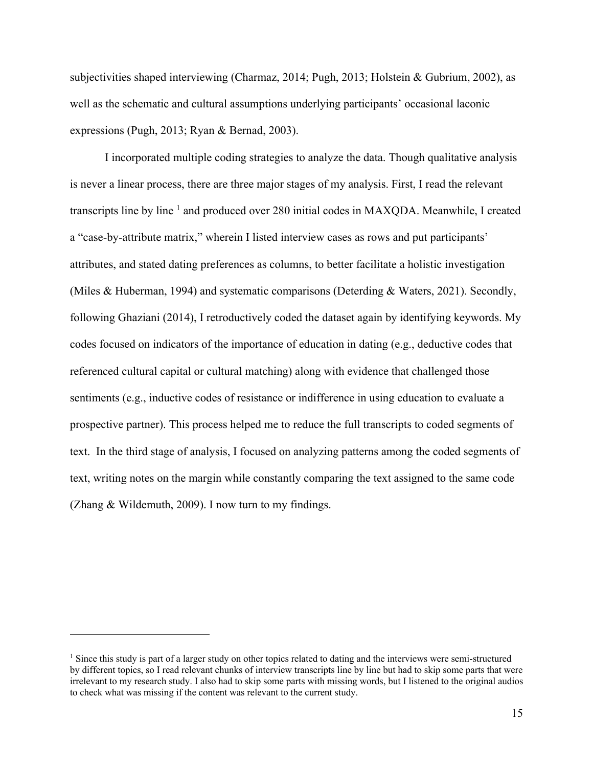subjectivities shaped interviewing (Charmaz, 2014; Pugh, 2013; Holstein & Gubrium, 2002), as well as the schematic and cultural assumptions underlying participants' occasional laconic expressions (Pugh, 2013; Ryan & Bernad, 2003).

I incorporated multiple coding strategies to analyze the data. Though qualitative analysis is never a linear process, there are three major stages of my analysis. First, I read the relevant transcripts line by line  $1$  and produced over 280 initial codes in MAXQDA. Meanwhile, I created a "case-by-attribute matrix," wherein I listed interview cases as rows and put participants' attributes, and stated dating preferences as columns, to better facilitate a holistic investigation (Miles & Huberman, 1994) and systematic comparisons (Deterding & Waters, 2021). Secondly, following Ghaziani (2014), I retroductively coded the dataset again by identifying keywords. My codes focused on indicators of the importance of education in dating (e.g., deductive codes that referenced cultural capital or cultural matching) along with evidence that challenged those sentiments (e.g., inductive codes of resistance or indifference in using education to evaluate a prospective partner). This process helped me to reduce the full transcripts to coded segments of text. In the third stage of analysis, I focused on analyzing patterns among the coded segments of text, writing notes on the margin while constantly comparing the text assigned to the same code (Zhang & Wildemuth, 2009). I now turn to my findings.

<sup>&</sup>lt;sup>1</sup> Since this study is part of a larger study on other topics related to dating and the interviews were semi-structured by different topics, so I read relevant chunks of interview transcripts line by line but had to skip some parts that were irrelevant to my research study. I also had to skip some parts with missing words, but I listened to the original audios to check what was missing if the content was relevant to the current study.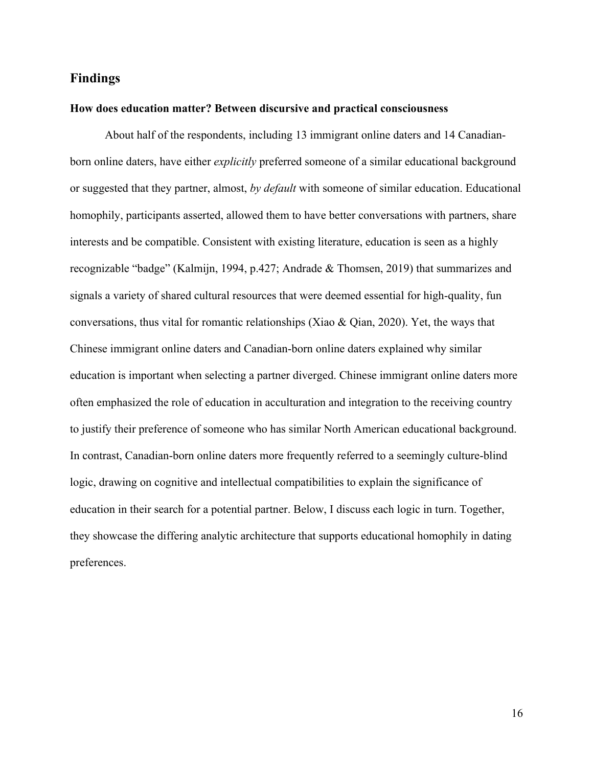## **Findings**

#### **How does education matter? Between discursive and practical consciousness**

 About half of the respondents, including 13 immigrant online daters and 14 Canadianborn online daters, have either *explicitly* preferred someone of a similar educational background or suggested that they partner, almost, *by default* with someone of similar education. Educational homophily, participants asserted, allowed them to have better conversations with partners, share interests and be compatible. Consistent with existing literature, education is seen as a highly recognizable "badge" (Kalmijn, 1994, p.427; Andrade & Thomsen, 2019) that summarizes and signals a variety of shared cultural resources that were deemed essential for high-quality, fun conversations, thus vital for romantic relationships (Xiao & Qian, 2020). Yet, the ways that Chinese immigrant online daters and Canadian-born online daters explained why similar education is important when selecting a partner diverged. Chinese immigrant online daters more often emphasized the role of education in acculturation and integration to the receiving country to justify their preference of someone who has similar North American educational background. In contrast, Canadian-born online daters more frequently referred to a seemingly culture-blind logic, drawing on cognitive and intellectual compatibilities to explain the significance of education in their search for a potential partner. Below, I discuss each logic in turn. Together, they showcase the differing analytic architecture that supports educational homophily in dating preferences.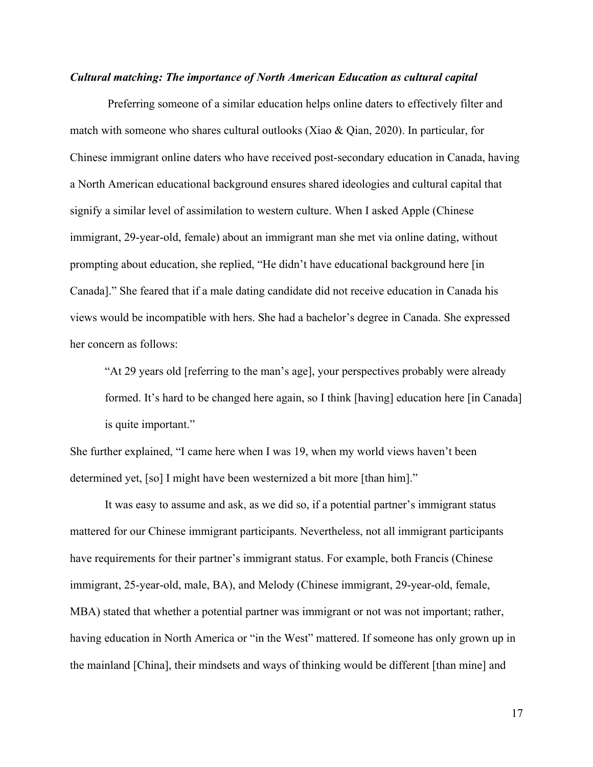#### *Cultural matching: The importance of North American Education as cultural capital*

 Preferring someone of a similar education helps online daters to effectively filter and match with someone who shares cultural outlooks (Xiao & Qian, 2020). In particular, for Chinese immigrant online daters who have received post-secondary education in Canada, having a North American educational background ensures shared ideologies and cultural capital that signify a similar level of assimilation to western culture. When I asked Apple (Chinese immigrant, 29-year-old, female) about an immigrant man she met via online dating, without prompting about education, she replied, "He didn't have educational background here [in Canada]." She feared that if a male dating candidate did not receive education in Canada his views would be incompatible with hers. She had a bachelor's degree in Canada. She expressed her concern as follows:

"At 29 years old [referring to the man's age], your perspectives probably were already formed. It's hard to be changed here again, so I think [having] education here [in Canada] is quite important."

She further explained, "I came here when I was 19, when my world views haven't been determined yet, [so] I might have been westernized a bit more [than him]."

It was easy to assume and ask, as we did so, if a potential partner's immigrant status mattered for our Chinese immigrant participants. Nevertheless, not all immigrant participants have requirements for their partner's immigrant status. For example, both Francis (Chinese immigrant, 25-year-old, male, BA), and Melody (Chinese immigrant, 29-year-old, female, MBA) stated that whether a potential partner was immigrant or not was not important; rather, having education in North America or "in the West" mattered. If someone has only grown up in the mainland [China], their mindsets and ways of thinking would be different [than mine] and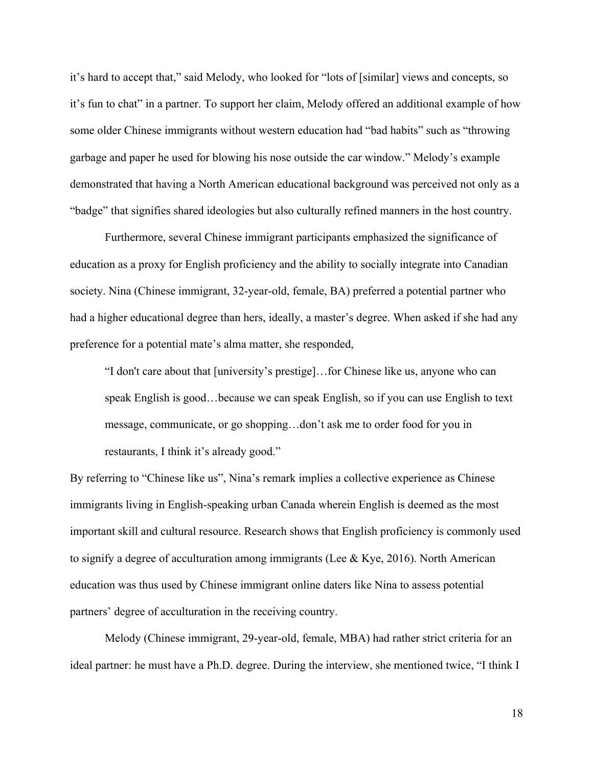it's hard to accept that," said Melody, who looked for "lots of [similar] views and concepts, so it's fun to chat" in a partner. To support her claim, Melody offered an additional example of how some older Chinese immigrants without western education had "bad habits" such as "throwing garbage and paper he used for blowing his nose outside the car window." Melody's example demonstrated that having a North American educational background was perceived not only as a "badge" that signifies shared ideologies but also culturally refined manners in the host country.

 Furthermore, several Chinese immigrant participants emphasized the significance of education as a proxy for English proficiency and the ability to socially integrate into Canadian society. Nina (Chinese immigrant, 32-year-old, female, BA) preferred a potential partner who had a higher educational degree than hers, ideally, a master's degree. When asked if she had any preference for a potential mate's alma matter, she responded,

"I don't care about that [university's prestige]…for Chinese like us, anyone who can speak English is good…because we can speak English, so if you can use English to text message, communicate, or go shopping…don't ask me to order food for you in restaurants, I think it's already good."

By referring to "Chinese like us", Nina's remark implies a collective experience as Chinese immigrants living in English-speaking urban Canada wherein English is deemed as the most important skill and cultural resource. Research shows that English proficiency is commonly used to signify a degree of acculturation among immigrants (Lee & Kye, 2016). North American education was thus used by Chinese immigrant online daters like Nina to assess potential partners' degree of acculturation in the receiving country.

Melody (Chinese immigrant, 29-year-old, female, MBA) had rather strict criteria for an ideal partner: he must have a Ph.D. degree. During the interview, she mentioned twice, "I think I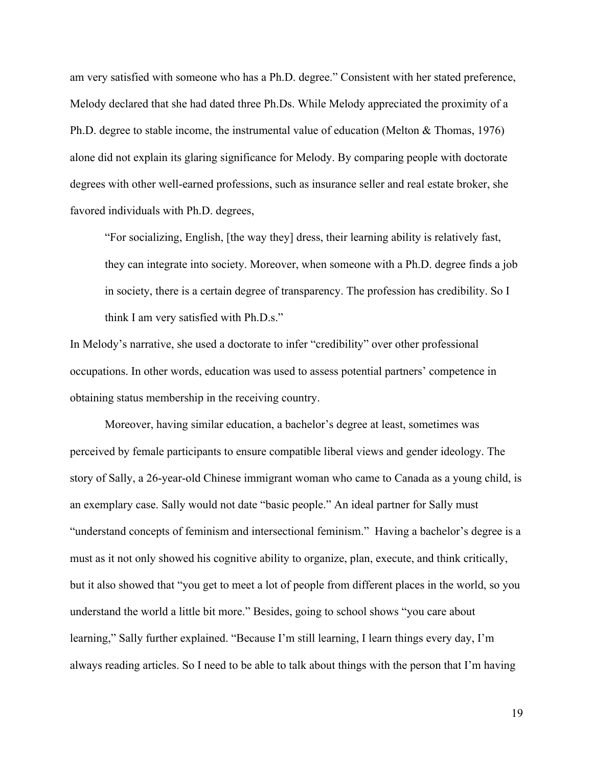am very satisfied with someone who has a Ph.D. degree." Consistent with her stated preference, Melody declared that she had dated three Ph.Ds. While Melody appreciated the proximity of a Ph.D. degree to stable income, the instrumental value of education (Melton & Thomas, 1976) alone did not explain its glaring significance for Melody. By comparing people with doctorate degrees with other well-earned professions, such as insurance seller and real estate broker, she favored individuals with Ph.D. degrees,

"For socializing, English, [the way they] dress, their learning ability is relatively fast, they can integrate into society. Moreover, when someone with a Ph.D. degree finds a job in society, there is a certain degree of transparency. The profession has credibility. So I think I am very satisfied with Ph.D.s."

In Melody's narrative, she used a doctorate to infer "credibility" over other professional occupations. In other words, education was used to assess potential partners' competence in obtaining status membership in the receiving country.

Moreover, having similar education, a bachelor's degree at least, sometimes was perceived by female participants to ensure compatible liberal views and gender ideology. The story of Sally, a 26-year-old Chinese immigrant woman who came to Canada as a young child, is an exemplary case. Sally would not date "basic people." An ideal partner for Sally must "understand concepts of feminism and intersectional feminism." Having a bachelor's degree is a must as it not only showed his cognitive ability to organize, plan, execute, and think critically, but it also showed that "you get to meet a lot of people from different places in the world, so you understand the world a little bit more." Besides, going to school shows "you care about learning," Sally further explained. "Because I'm still learning, I learn things every day, I'm always reading articles. So I need to be able to talk about things with the person that I'm having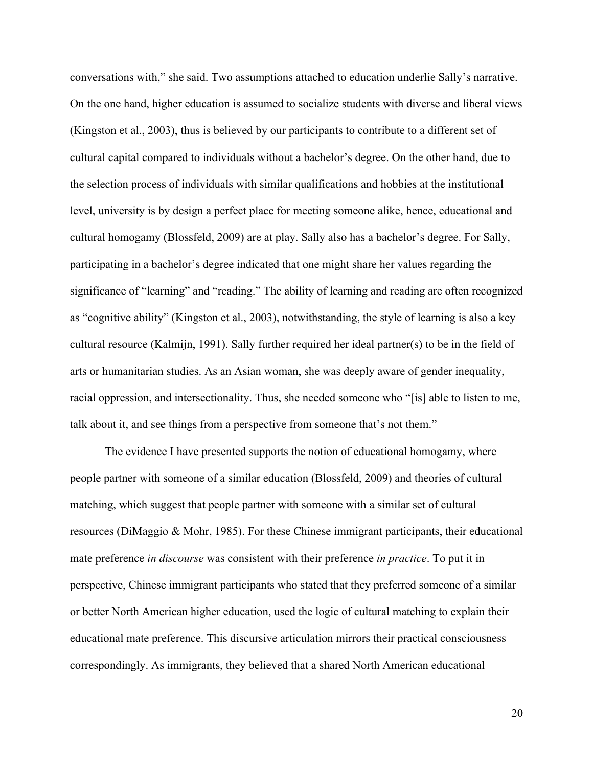conversations with," she said. Two assumptions attached to education underlie Sally's narrative. On the one hand, higher education is assumed to socialize students with diverse and liberal views (Kingston et al., 2003), thus is believed by our participants to contribute to a different set of cultural capital compared to individuals without a bachelor's degree. On the other hand, due to the selection process of individuals with similar qualifications and hobbies at the institutional level, university is by design a perfect place for meeting someone alike, hence, educational and cultural homogamy (Blossfeld, 2009) are at play. Sally also has a bachelor's degree. For Sally, participating in a bachelor's degree indicated that one might share her values regarding the significance of "learning" and "reading." The ability of learning and reading are often recognized as "cognitive ability" (Kingston et al., 2003), notwithstanding, the style of learning is also a key cultural resource (Kalmijn, 1991). Sally further required her ideal partner(s) to be in the field of arts or humanitarian studies. As an Asian woman, she was deeply aware of gender inequality, racial oppression, and intersectionality. Thus, she needed someone who "[is] able to listen to me, talk about it, and see things from a perspective from someone that's not them."

The evidence I have presented supports the notion of educational homogamy, where people partner with someone of a similar education (Blossfeld, 2009) and theories of cultural matching, which suggest that people partner with someone with a similar set of cultural resources (DiMaggio & Mohr, 1985). For these Chinese immigrant participants, their educational mate preference *in discourse* was consistent with their preference *in practice*. To put it in perspective, Chinese immigrant participants who stated that they preferred someone of a similar or better North American higher education, used the logic of cultural matching to explain their educational mate preference. This discursive articulation mirrors their practical consciousness correspondingly. As immigrants, they believed that a shared North American educational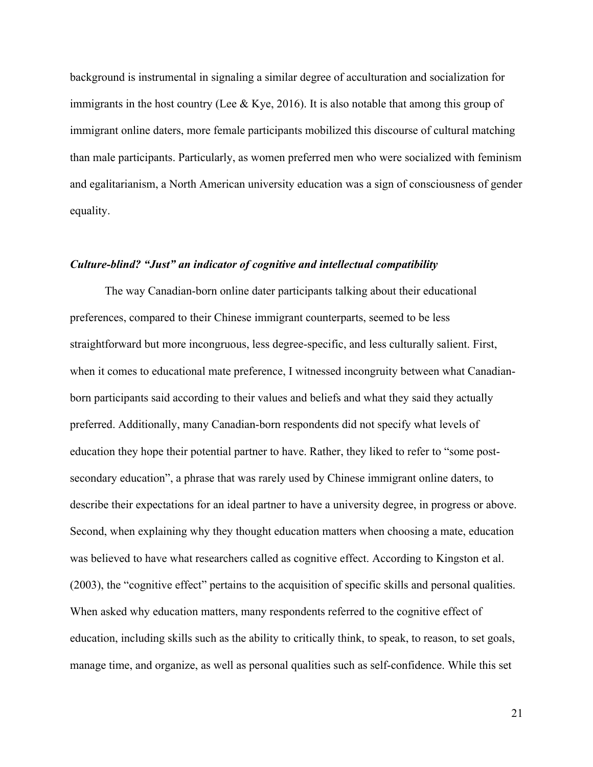background is instrumental in signaling a similar degree of acculturation and socialization for immigrants in the host country (Lee & Kye, 2016). It is also notable that among this group of immigrant online daters, more female participants mobilized this discourse of cultural matching than male participants. Particularly, as women preferred men who were socialized with feminism and egalitarianism, a North American university education was a sign of consciousness of gender equality.

#### *Culture-blind? "Just" an indicator of cognitive and intellectual compatibility*

The way Canadian-born online dater participants talking about their educational preferences, compared to their Chinese immigrant counterparts, seemed to be less straightforward but more incongruous, less degree-specific, and less culturally salient. First, when it comes to educational mate preference, I witnessed incongruity between what Canadianborn participants said according to their values and beliefs and what they said they actually preferred. Additionally, many Canadian-born respondents did not specify what levels of education they hope their potential partner to have. Rather, they liked to refer to "some postsecondary education", a phrase that was rarely used by Chinese immigrant online daters, to describe their expectations for an ideal partner to have a university degree, in progress or above. Second, when explaining why they thought education matters when choosing a mate, education was believed to have what researchers called as cognitive effect. According to Kingston et al. (2003), the "cognitive effect" pertains to the acquisition of specific skills and personal qualities. When asked why education matters, many respondents referred to the cognitive effect of education, including skills such as the ability to critically think, to speak, to reason, to set goals, manage time, and organize, as well as personal qualities such as self-confidence. While this set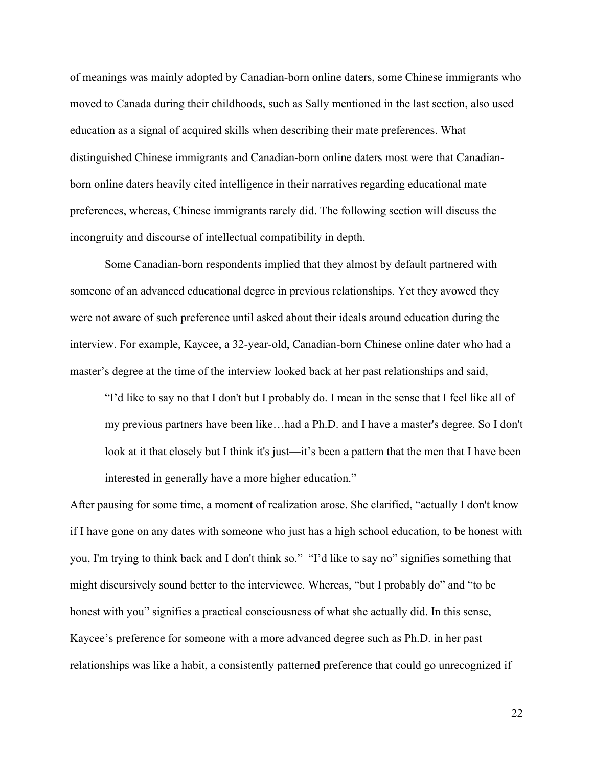of meanings was mainly adopted by Canadian-born online daters, some Chinese immigrants who moved to Canada during their childhoods, such as Sally mentioned in the last section, also used education as a signal of acquired skills when describing their mate preferences. What distinguished Chinese immigrants and Canadian-born online daters most were that Canadianborn online daters heavily cited intelligence in their narratives regarding educational mate preferences, whereas, Chinese immigrants rarely did. The following section will discuss the incongruity and discourse of intellectual compatibility in depth.

Some Canadian-born respondents implied that they almost by default partnered with someone of an advanced educational degree in previous relationships. Yet they avowed they were not aware of such preference until asked about their ideals around education during the interview. For example, Kaycee, a 32-year-old, Canadian-born Chinese online dater who had a master's degree at the time of the interview looked back at her past relationships and said,

"I'd like to say no that I don't but I probably do. I mean in the sense that I feel like all of my previous partners have been like…had a Ph.D. and I have a master's degree. So I don't look at it that closely but I think it's just—it's been a pattern that the men that I have been interested in generally have a more higher education."

After pausing for some time, a moment of realization arose. She clarified, "actually I don't know if I have gone on any dates with someone who just has a high school education, to be honest with you, I'm trying to think back and I don't think so." "I'd like to say no" signifies something that might discursively sound better to the interviewee. Whereas, "but I probably do" and "to be honest with you" signifies a practical consciousness of what she actually did. In this sense, Kaycee's preference for someone with a more advanced degree such as Ph.D. in her past relationships was like a habit, a consistently patterned preference that could go unrecognized if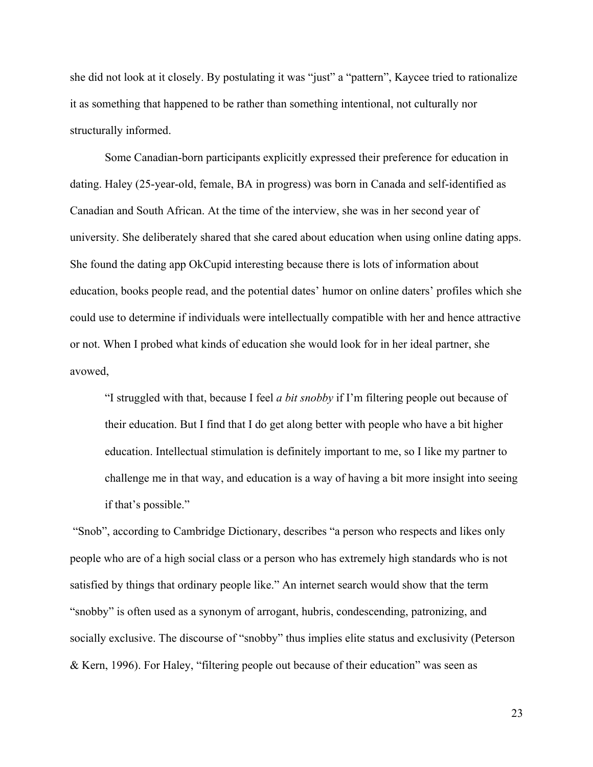she did not look at it closely. By postulating it was "just" a "pattern", Kaycee tried to rationalize it as something that happened to be rather than something intentional, not culturally nor structurally informed.

Some Canadian-born participants explicitly expressed their preference for education in dating. Haley (25-year-old, female, BA in progress) was born in Canada and self-identified as Canadian and South African. At the time of the interview, she was in her second year of university. She deliberately shared that she cared about education when using online dating apps. She found the dating app OkCupid interesting because there is lots of information about education, books people read, and the potential dates' humor on online daters' profiles which she could use to determine if individuals were intellectually compatible with her and hence attractive or not. When I probed what kinds of education she would look for in her ideal partner, she avowed,

"I struggled with that, because I feel *a bit snobby* if I'm filtering people out because of their education. But I find that I do get along better with people who have a bit higher education. Intellectual stimulation is definitely important to me, so I like my partner to challenge me in that way, and education is a way of having a bit more insight into seeing if that's possible."

"Snob", according to Cambridge Dictionary, describes "a person who respects and likes only people who are of a high social class or a person who has extremely high standards who is not satisfied by things that ordinary people like." An internet search would show that the term "snobby" is often used as a synonym of arrogant, hubris, condescending, patronizing, and socially exclusive. The discourse of "snobby" thus implies elite status and exclusivity (Peterson & Kern, 1996). For Haley, "filtering people out because of their education" was seen as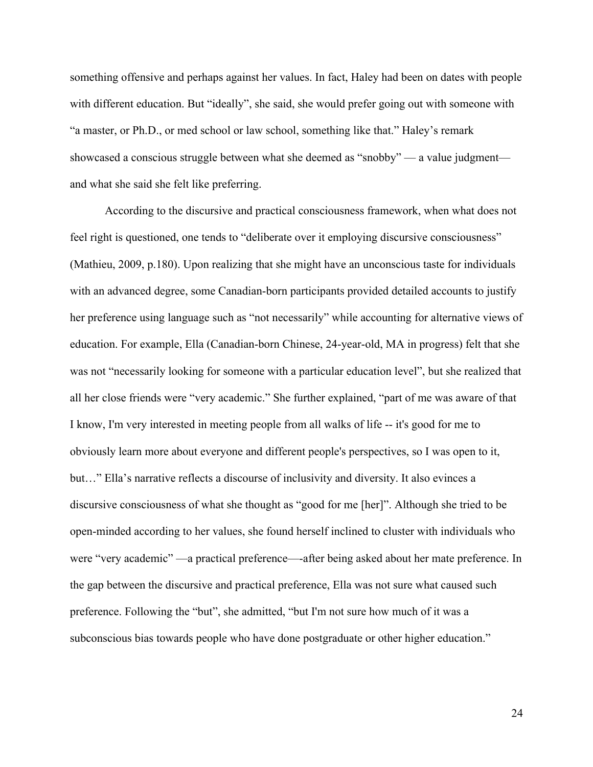something offensive and perhaps against her values. In fact, Haley had been on dates with people with different education. But "ideally", she said, she would prefer going out with someone with "a master, or Ph.D., or med school or law school, something like that." Haley's remark showcased a conscious struggle between what she deemed as "snobby" — a value judgment and what she said she felt like preferring.

According to the discursive and practical consciousness framework, when what does not feel right is questioned, one tends to "deliberate over it employing discursive consciousness" (Mathieu, 2009, p.180). Upon realizing that she might have an unconscious taste for individuals with an advanced degree, some Canadian-born participants provided detailed accounts to justify her preference using language such as "not necessarily" while accounting for alternative views of education. For example, Ella (Canadian-born Chinese, 24-year-old, MA in progress) felt that she was not "necessarily looking for someone with a particular education level", but she realized that all her close friends were "very academic." She further explained, "part of me was aware of that I know, I'm very interested in meeting people from all walks of life -- it's good for me to obviously learn more about everyone and different people's perspectives, so I was open to it, but…" Ella's narrative reflects a discourse of inclusivity and diversity. It also evinces a discursive consciousness of what she thought as "good for me [her]". Although she tried to be open-minded according to her values, she found herself inclined to cluster with individuals who were "very academic" —a practical preference—-after being asked about her mate preference. In the gap between the discursive and practical preference, Ella was not sure what caused such preference. Following the "but", she admitted, "but I'm not sure how much of it was a subconscious bias towards people who have done postgraduate or other higher education."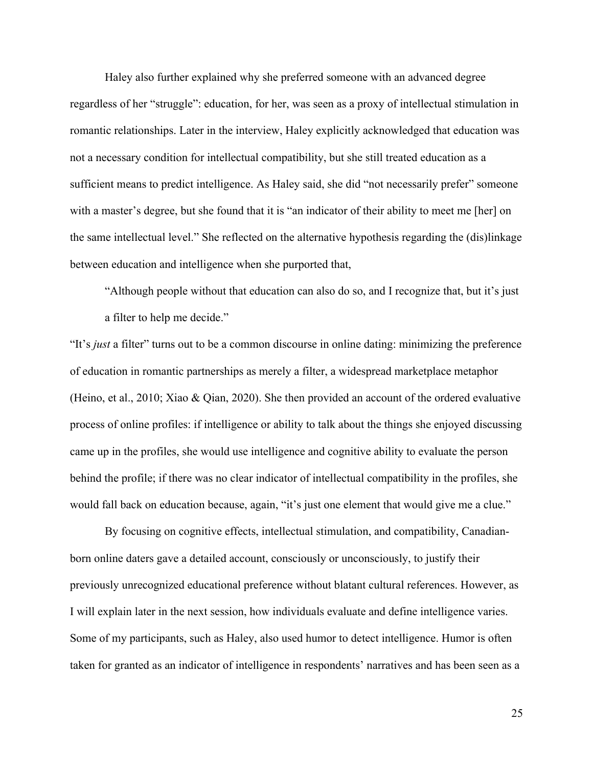Haley also further explained why she preferred someone with an advanced degree regardless of her "struggle": education, for her, was seen as a proxy of intellectual stimulation in romantic relationships. Later in the interview, Haley explicitly acknowledged that education was not a necessary condition for intellectual compatibility, but she still treated education as a sufficient means to predict intelligence. As Haley said, she did "not necessarily prefer" someone with a master's degree, but she found that it is "an indicator of their ability to meet me [her] on the same intellectual level." She reflected on the alternative hypothesis regarding the (dis)linkage between education and intelligence when she purported that,

"Although people without that education can also do so, and I recognize that, but it's just a filter to help me decide."

"It's *just* a filter" turns out to be a common discourse in online dating: minimizing the preference of education in romantic partnerships as merely a filter, a widespread marketplace metaphor (Heino, et al., 2010; Xiao & Qian, 2020). She then provided an account of the ordered evaluative process of online profiles: if intelligence or ability to talk about the things she enjoyed discussing came up in the profiles, she would use intelligence and cognitive ability to evaluate the person behind the profile; if there was no clear indicator of intellectual compatibility in the profiles, she would fall back on education because, again, "it's just one element that would give me a clue."

By focusing on cognitive effects, intellectual stimulation, and compatibility, Canadianborn online daters gave a detailed account, consciously or unconsciously, to justify their previously unrecognized educational preference without blatant cultural references. However, as I will explain later in the next session, how individuals evaluate and define intelligence varies. Some of my participants, such as Haley, also used humor to detect intelligence. Humor is often taken for granted as an indicator of intelligence in respondents' narratives and has been seen as a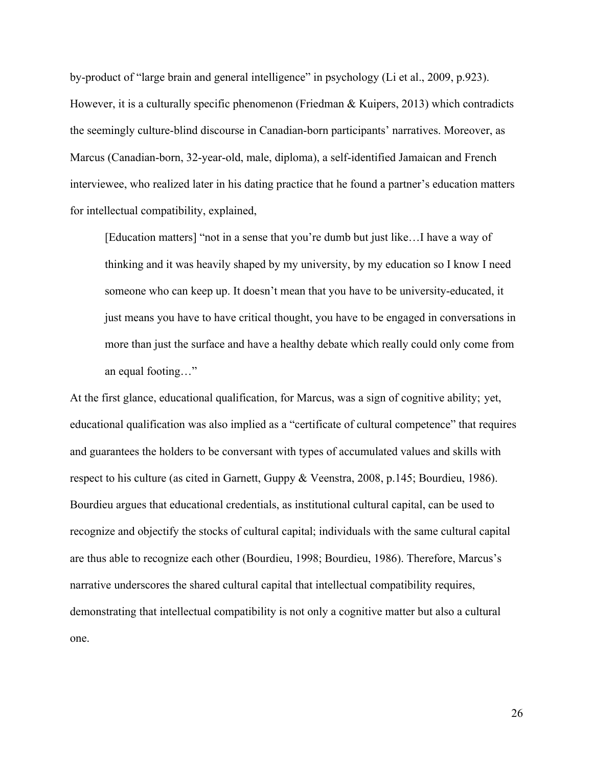by-product of "large brain and general intelligence" in psychology (Li et al., 2009, p.923). However, it is a culturally specific phenomenon (Friedman & Kuipers, 2013) which contradicts the seemingly culture-blind discourse in Canadian-born participants' narratives. Moreover, as Marcus (Canadian-born, 32-year-old, male, diploma), a self-identified Jamaican and French interviewee, who realized later in his dating practice that he found a partner's education matters for intellectual compatibility, explained,

[Education matters] "not in a sense that you're dumb but just like…I have a way of thinking and it was heavily shaped by my university, by my education so I know I need someone who can keep up. It doesn't mean that you have to be university-educated, it just means you have to have critical thought, you have to be engaged in conversations in more than just the surface and have a healthy debate which really could only come from an equal footing…"

At the first glance, educational qualification, for Marcus, was a sign of cognitive ability; yet, educational qualification was also implied as a "certificate of cultural competence" that requires and guarantees the holders to be conversant with types of accumulated values and skills with respect to his culture (as cited in Garnett, Guppy & Veenstra, 2008, p.145; Bourdieu, 1986). Bourdieu argues that educational credentials, as institutional cultural capital, can be used to recognize and objectify the stocks of cultural capital; individuals with the same cultural capital are thus able to recognize each other (Bourdieu, 1998; Bourdieu, 1986). Therefore, Marcus's narrative underscores the shared cultural capital that intellectual compatibility requires, demonstrating that intellectual compatibility is not only a cognitive matter but also a cultural one.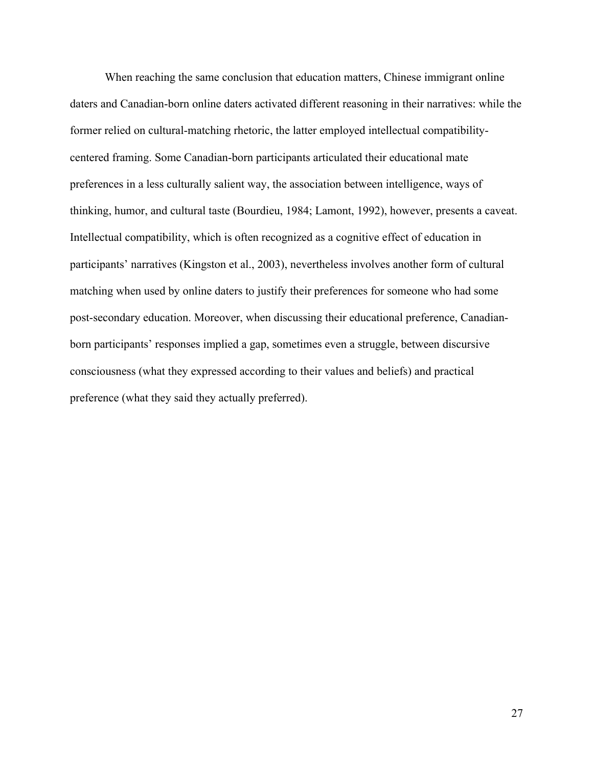When reaching the same conclusion that education matters, Chinese immigrant online daters and Canadian-born online daters activated different reasoning in their narratives: while the former relied on cultural-matching rhetoric, the latter employed intellectual compatibilitycentered framing. Some Canadian-born participants articulated their educational mate preferences in a less culturally salient way, the association between intelligence, ways of thinking, humor, and cultural taste (Bourdieu, 1984; Lamont, 1992), however, presents a caveat. Intellectual compatibility, which is often recognized as a cognitive effect of education in participants' narratives (Kingston et al., 2003), nevertheless involves another form of cultural matching when used by online daters to justify their preferences for someone who had some post-secondary education. Moreover, when discussing their educational preference, Canadianborn participants' responses implied a gap, sometimes even a struggle, between discursive consciousness (what they expressed according to their values and beliefs) and practical preference (what they said they actually preferred).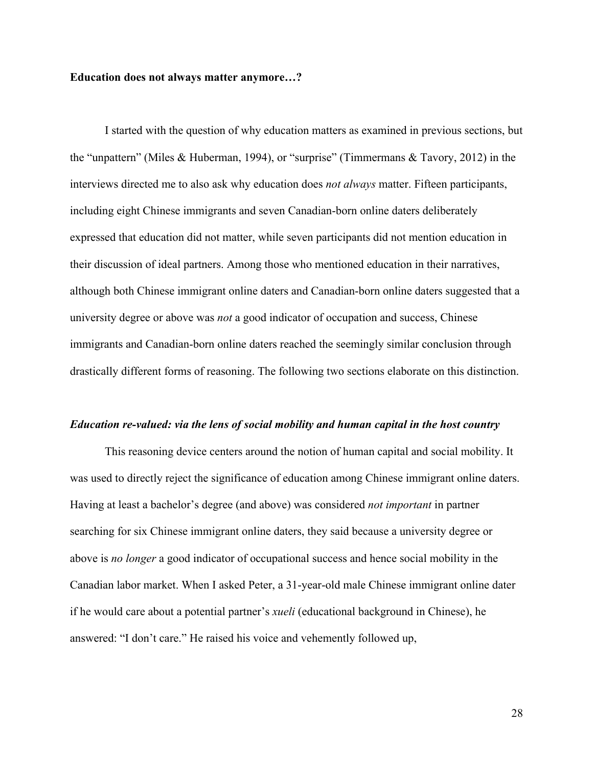#### **Education does not always matter anymore…?**

I started with the question of why education matters as examined in previous sections, but the "unpattern" (Miles & Huberman, 1994), or "surprise" (Timmermans & Tavory, 2012) in the interviews directed me to also ask why education does *not always* matter. Fifteen participants, including eight Chinese immigrants and seven Canadian-born online daters deliberately expressed that education did not matter, while seven participants did not mention education in their discussion of ideal partners. Among those who mentioned education in their narratives, although both Chinese immigrant online daters and Canadian-born online daters suggested that a university degree or above was *not* a good indicator of occupation and success, Chinese immigrants and Canadian-born online daters reached the seemingly similar conclusion through drastically different forms of reasoning. The following two sections elaborate on this distinction.

#### *Education re-valued: via the lens of social mobility and human capital in the host country*

This reasoning device centers around the notion of human capital and social mobility. It was used to directly reject the significance of education among Chinese immigrant online daters. Having at least a bachelor's degree (and above) was considered *not important* in partner searching for six Chinese immigrant online daters, they said because a university degree or above is *no longer* a good indicator of occupational success and hence social mobility in the Canadian labor market. When I asked Peter, a 31-year-old male Chinese immigrant online dater if he would care about a potential partner's *xueli* (educational background in Chinese), he answered: "I don't care." He raised his voice and vehemently followed up,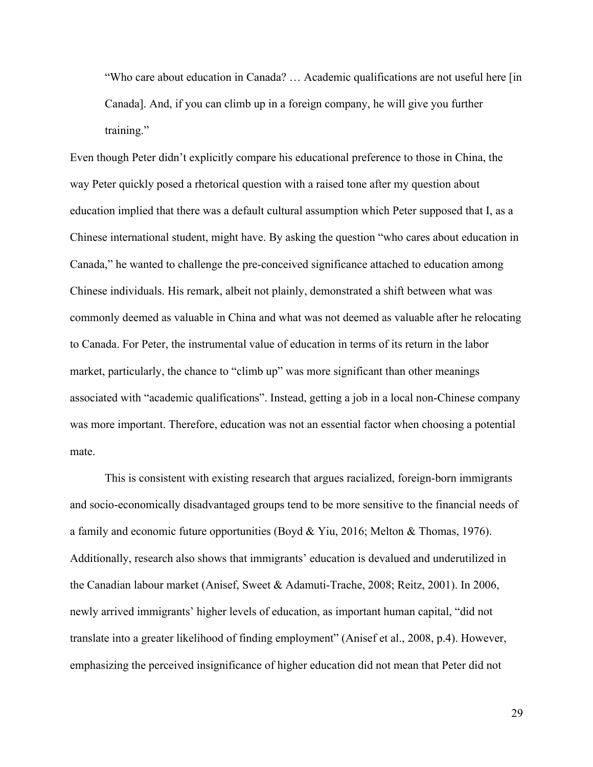"Who care about education in Canada? … Academic qualifications are not useful here [in Canada]. And, if you can climb up in a foreign company, he will give you further training."

Even though Peter didn't explicitly compare his educational preference to those in China, the way Peter quickly posed a rhetorical question with a raised tone after my question about education implied that there was a default cultural assumption which Peter supposed that I, as a Chinese international student, might have. By asking the question "who cares about education in Canada," he wanted to challenge the pre-conceived significance attached to education among Chinese individuals. His remark, albeit not plainly, demonstrated a shift between what was commonly deemed as valuable in China and what was not deemed as valuable after he relocating to Canada. For Peter, the instrumental value of education in terms of its return in the labor market, particularly, the chance to "climb up" was more significant than other meanings associated with "academic qualifications". Instead, getting a job in a local non-Chinese company was more important. Therefore, education was not an essential factor when choosing a potential mate.

This is consistent with existing research that argues racialized, foreign-born immigrants and socio-economically disadvantaged groups tend to be more sensitive to the financial needs of a family and economic future opportunities (Boyd & Yiu, 2016; Melton & Thomas, 1976). Additionally, research also shows that immigrants' education is devalued and underutilized in the Canadian labour market (Anisef, Sweet & Adamuti-Trache, 2008; Reitz, 2001). In 2006, newly arrived immigrants' higher levels of education, as important human capital, "did not translate into a greater likelihood of finding employment" (Anisef et al., 2008, p.4). However, emphasizing the perceived insignificance of higher education did not mean that Peter did not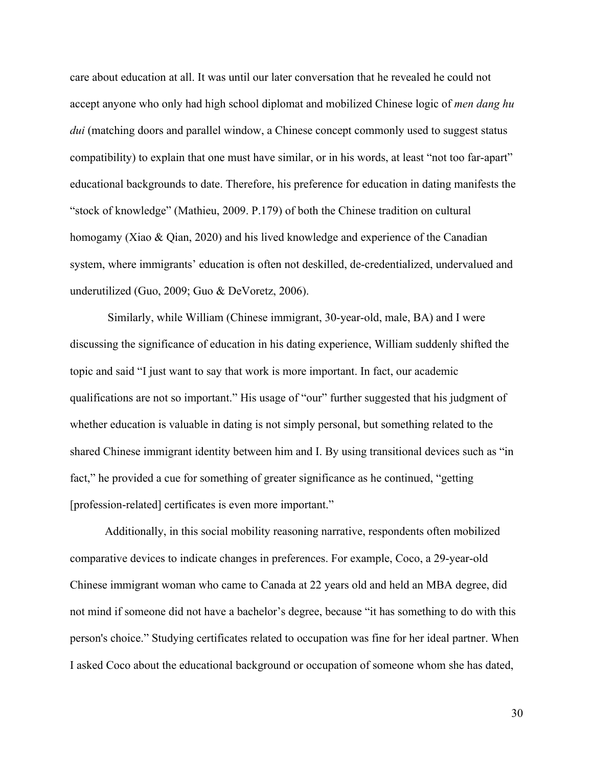care about education at all. It was until our later conversation that he revealed he could not accept anyone who only had high school diplomat and mobilized Chinese logic of *men dang hu dui* (matching doors and parallel window, a Chinese concept commonly used to suggest status compatibility) to explain that one must have similar, or in his words, at least "not too far-apart" educational backgrounds to date. Therefore, his preference for education in dating manifests the "stock of knowledge" (Mathieu, 2009. P.179) of both the Chinese tradition on cultural homogamy (Xiao & Qian, 2020) and his lived knowledge and experience of the Canadian system, where immigrants' education is often not deskilled, de-credentialized, undervalued and underutilized (Guo, 2009; Guo & DeVoretz, 2006).

 Similarly, while William (Chinese immigrant, 30-year-old, male, BA) and I were discussing the significance of education in his dating experience, William suddenly shifted the topic and said "I just want to say that work is more important. In fact, our academic qualifications are not so important." His usage of "our" further suggested that his judgment of whether education is valuable in dating is not simply personal, but something related to the shared Chinese immigrant identity between him and I. By using transitional devices such as "in fact," he provided a cue for something of greater significance as he continued, "getting [profession-related] certificates is even more important."

Additionally, in this social mobility reasoning narrative, respondents often mobilized comparative devices to indicate changes in preferences. For example, Coco, a 29-year-old Chinese immigrant woman who came to Canada at 22 years old and held an MBA degree, did not mind if someone did not have a bachelor's degree, because "it has something to do with this person's choice." Studying certificates related to occupation was fine for her ideal partner. When I asked Coco about the educational background or occupation of someone whom she has dated,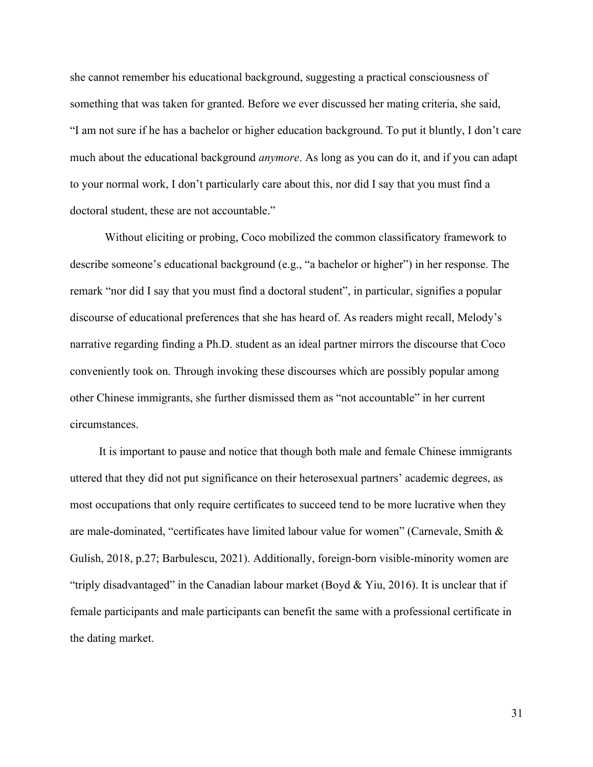she cannot remember his educational background, suggesting a practical consciousness of something that was taken for granted. Before we ever discussed her mating criteria, she said, "I am not sure if he has a bachelor or higher education background. To put it bluntly, I don't care much about the educational background *anymore*. As long as you can do it, and if you can adapt to your normal work, I don't particularly care about this, nor did I say that you must find a doctoral student, these are not accountable."

Without eliciting or probing, Coco mobilized the common classificatory framework to describe someone's educational background (e.g., "a bachelor or higher") in her response. The remark "nor did I say that you must find a doctoral student", in particular, signifies a popular discourse of educational preferences that she has heard of. As readers might recall, Melody's narrative regarding finding a Ph.D. student as an ideal partner mirrors the discourse that Coco conveniently took on. Through invoking these discourses which are possibly popular among other Chinese immigrants, she further dismissed them as "not accountable" in her current circumstances.

 It is important to pause and notice that though both male and female Chinese immigrants uttered that they did not put significance on their heterosexual partners' academic degrees, as most occupations that only require certificates to succeed tend to be more lucrative when they are male-dominated, "certificates have limited labour value for women" (Carnevale, Smith & Gulish, 2018, p.27; Barbulescu, 2021). Additionally, foreign-born visible-minority women are "triply disadvantaged" in the Canadian labour market (Boyd & Yiu, 2016). It is unclear that if female participants and male participants can benefit the same with a professional certificate in the dating market.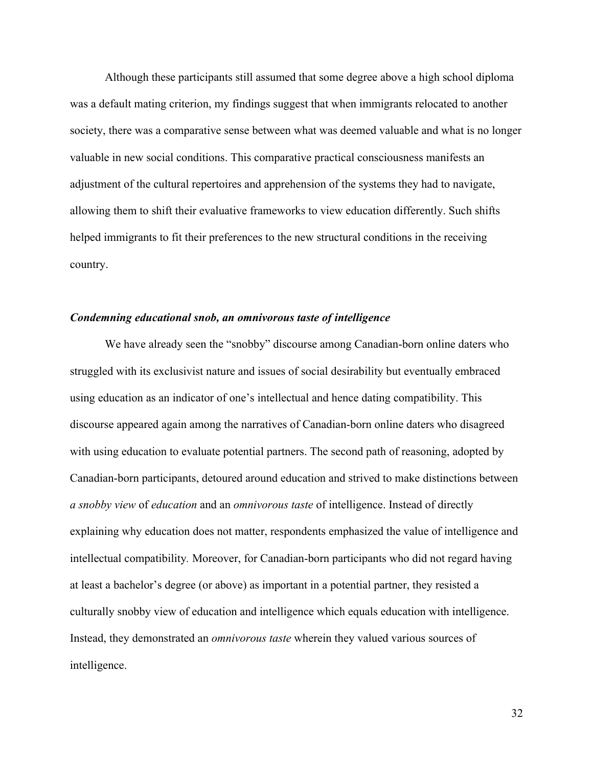Although these participants still assumed that some degree above a high school diploma was a default mating criterion, my findings suggest that when immigrants relocated to another society, there was a comparative sense between what was deemed valuable and what is no longer valuable in new social conditions. This comparative practical consciousness manifests an adjustment of the cultural repertoires and apprehension of the systems they had to navigate, allowing them to shift their evaluative frameworks to view education differently. Such shifts helped immigrants to fit their preferences to the new structural conditions in the receiving country.

#### *Condemning educational snob, an omnivorous taste of intelligence*

We have already seen the "snobby" discourse among Canadian-born online daters who struggled with its exclusivist nature and issues of social desirability but eventually embraced using education as an indicator of one's intellectual and hence dating compatibility. This discourse appeared again among the narratives of Canadian-born online daters who disagreed with using education to evaluate potential partners. The second path of reasoning, adopted by Canadian-born participants, detoured around education and strived to make distinctions between *a snobby view* of *education* and an *omnivorous taste* of intelligence. Instead of directly explaining why education does not matter, respondents emphasized the value of intelligence and intellectual compatibility*.* Moreover, for Canadian-born participants who did not regard having at least a bachelor's degree (or above) as important in a potential partner, they resisted a culturally snobby view of education and intelligence which equals education with intelligence. Instead, they demonstrated an *omnivorous taste* wherein they valued various sources of intelligence.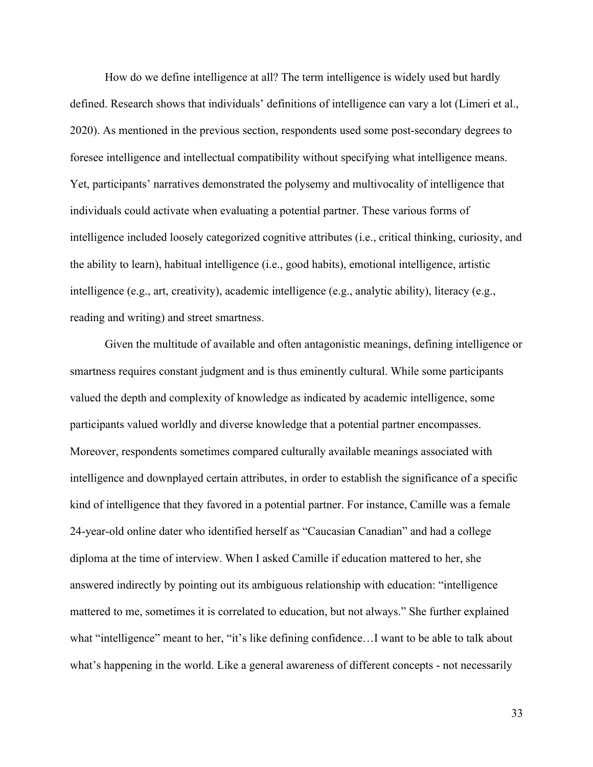How do we define intelligence at all? The term intelligence is widely used but hardly defined. Research shows that individuals' definitions of intelligence can vary a lot (Limeri et al., 2020). As mentioned in the previous section, respondents used some post-secondary degrees to foresee intelligence and intellectual compatibility without specifying what intelligence means. Yet, participants' narratives demonstrated the polysemy and multivocality of intelligence that individuals could activate when evaluating a potential partner. These various forms of intelligence included loosely categorized cognitive attributes (i.e., critical thinking, curiosity, and the ability to learn), habitual intelligence (i.e., good habits), emotional intelligence, artistic intelligence (e.g., art, creativity), academic intelligence (e.g., analytic ability), literacy (e.g., reading and writing) and street smartness.

Given the multitude of available and often antagonistic meanings, defining intelligence or smartness requires constant judgment and is thus eminently cultural. While some participants valued the depth and complexity of knowledge as indicated by academic intelligence, some participants valued worldly and diverse knowledge that a potential partner encompasses. Moreover, respondents sometimes compared culturally available meanings associated with intelligence and downplayed certain attributes, in order to establish the significance of a specific kind of intelligence that they favored in a potential partner. For instance, Camille was a female 24-year-old online dater who identified herself as "Caucasian Canadian" and had a college diploma at the time of interview. When I asked Camille if education mattered to her, she answered indirectly by pointing out its ambiguous relationship with education: "intelligence mattered to me, sometimes it is correlated to education, but not always." She further explained what "intelligence" meant to her, "it's like defining confidence...I want to be able to talk about what's happening in the world. Like a general awareness of different concepts - not necessarily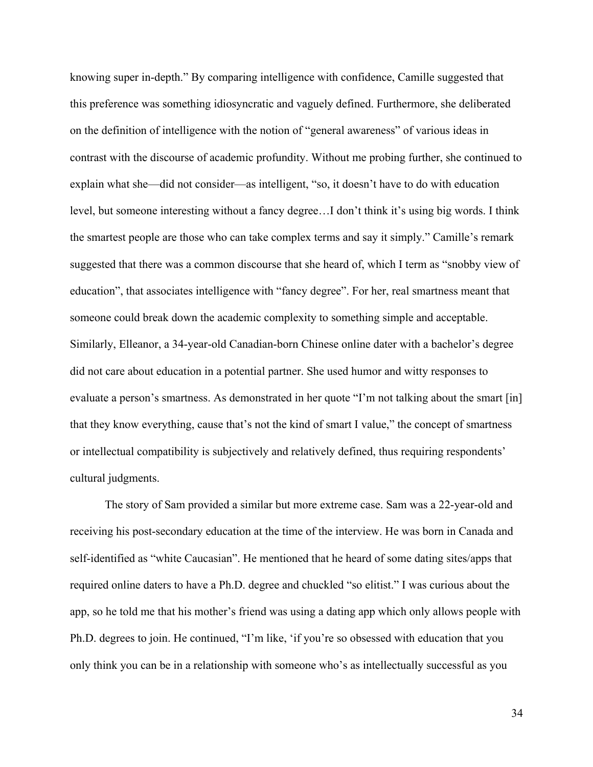knowing super in-depth." By comparing intelligence with confidence, Camille suggested that this preference was something idiosyncratic and vaguely defined. Furthermore, she deliberated on the definition of intelligence with the notion of "general awareness" of various ideas in contrast with the discourse of academic profundity. Without me probing further, she continued to explain what she—did not consider—as intelligent, "so, it doesn't have to do with education level, but someone interesting without a fancy degree…I don't think it's using big words. I think the smartest people are those who can take complex terms and say it simply." Camille's remark suggested that there was a common discourse that she heard of, which I term as "snobby view of education", that associates intelligence with "fancy degree". For her, real smartness meant that someone could break down the academic complexity to something simple and acceptable. Similarly, Elleanor, a 34-year-old Canadian-born Chinese online dater with a bachelor's degree did not care about education in a potential partner. She used humor and witty responses to evaluate a person's smartness. As demonstrated in her quote "I'm not talking about the smart [in] that they know everything, cause that's not the kind of smart I value," the concept of smartness or intellectual compatibility is subjectively and relatively defined, thus requiring respondents' cultural judgments.

The story of Sam provided a similar but more extreme case. Sam was a 22-year-old and receiving his post-secondary education at the time of the interview. He was born in Canada and self-identified as "white Caucasian". He mentioned that he heard of some dating sites/apps that required online daters to have a Ph.D. degree and chuckled "so elitist." I was curious about the app, so he told me that his mother's friend was using a dating app which only allows people with Ph.D. degrees to join. He continued, "I'm like, 'if you're so obsessed with education that you only think you can be in a relationship with someone who's as intellectually successful as you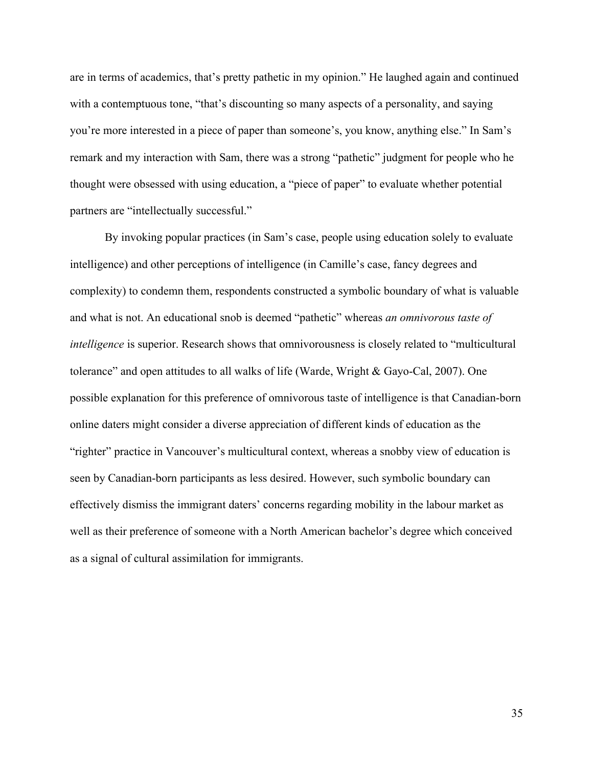are in terms of academics, that's pretty pathetic in my opinion." He laughed again and continued with a contemptuous tone, "that's discounting so many aspects of a personality, and saying you're more interested in a piece of paper than someone's, you know, anything else." In Sam's remark and my interaction with Sam, there was a strong "pathetic" judgment for people who he thought were obsessed with using education, a "piece of paper" to evaluate whether potential partners are "intellectually successful."

By invoking popular practices (in Sam's case, people using education solely to evaluate intelligence) and other perceptions of intelligence (in Camille's case, fancy degrees and complexity) to condemn them, respondents constructed a symbolic boundary of what is valuable and what is not. An educational snob is deemed "pathetic" whereas *an omnivorous taste of intelligence* is superior. Research shows that omnivorousness is closely related to "multicultural tolerance" and open attitudes to all walks of life (Warde, Wright & Gayo-Cal, 2007). One possible explanation for this preference of omnivorous taste of intelligence is that Canadian-born online daters might consider a diverse appreciation of different kinds of education as the "righter" practice in Vancouver's multicultural context, whereas a snobby view of education is seen by Canadian-born participants as less desired. However, such symbolic boundary can effectively dismiss the immigrant daters' concerns regarding mobility in the labour market as well as their preference of someone with a North American bachelor's degree which conceived as a signal of cultural assimilation for immigrants.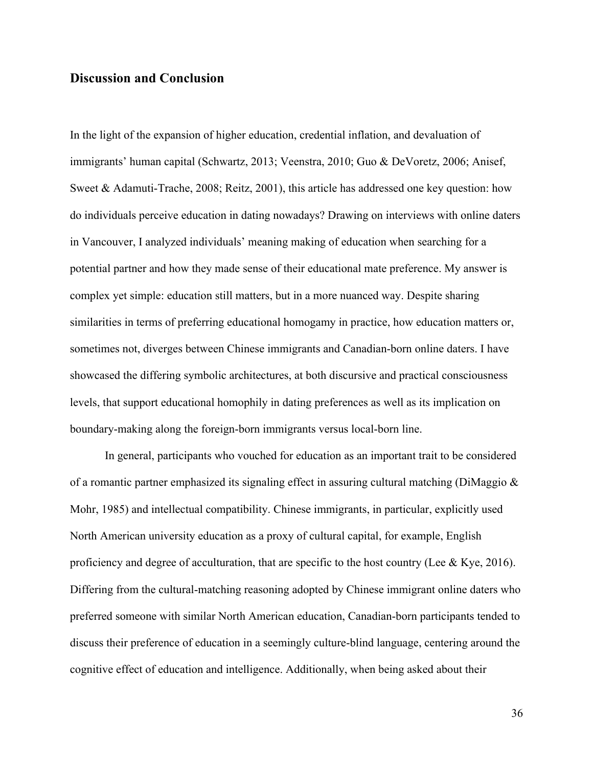### **Discussion and Conclusion**

In the light of the expansion of higher education, credential inflation, and devaluation of immigrants' human capital (Schwartz, 2013; Veenstra, 2010; Guo & DeVoretz, 2006; Anisef, Sweet & Adamuti-Trache, 2008; Reitz, 2001), this article has addressed one key question: how do individuals perceive education in dating nowadays? Drawing on interviews with online daters in Vancouver, I analyzed individuals' meaning making of education when searching for a potential partner and how they made sense of their educational mate preference. My answer is complex yet simple: education still matters, but in a more nuanced way. Despite sharing similarities in terms of preferring educational homogamy in practice, how education matters or, sometimes not, diverges between Chinese immigrants and Canadian-born online daters. I have showcased the differing symbolic architectures, at both discursive and practical consciousness levels, that support educational homophily in dating preferences as well as its implication on boundary-making along the foreign-born immigrants versus local-born line.

In general, participants who vouched for education as an important trait to be considered of a romantic partner emphasized its signaling effect in assuring cultural matching (DiMaggio & Mohr, 1985) and intellectual compatibility. Chinese immigrants, in particular, explicitly used North American university education as a proxy of cultural capital, for example, English proficiency and degree of acculturation, that are specific to the host country (Lee & Kye, 2016). Differing from the cultural-matching reasoning adopted by Chinese immigrant online daters who preferred someone with similar North American education, Canadian-born participants tended to discuss their preference of education in a seemingly culture-blind language, centering around the cognitive effect of education and intelligence. Additionally, when being asked about their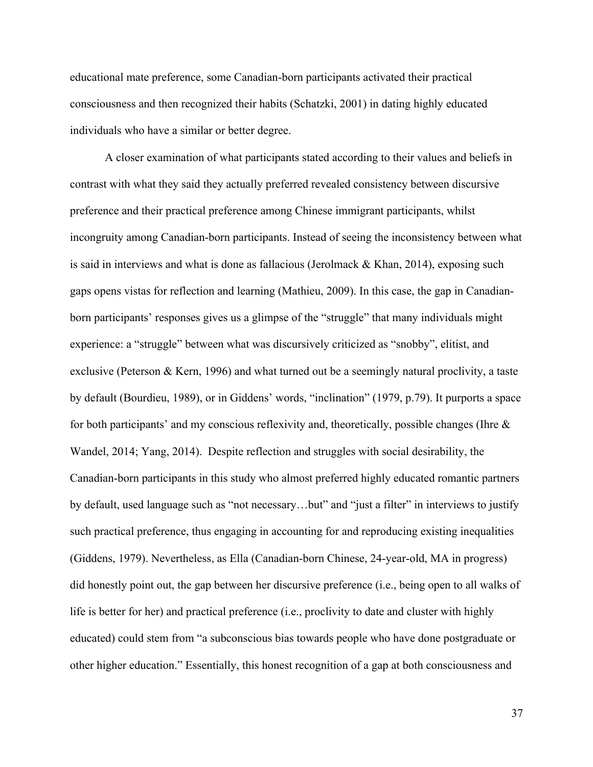educational mate preference, some Canadian-born participants activated their practical consciousness and then recognized their habits (Schatzki, 2001) in dating highly educated individuals who have a similar or better degree.

A closer examination of what participants stated according to their values and beliefs in contrast with what they said they actually preferred revealed consistency between discursive preference and their practical preference among Chinese immigrant participants, whilst incongruity among Canadian-born participants. Instead of seeing the inconsistency between what is said in interviews and what is done as fallacious (Jerolmack & Khan, 2014), exposing such gaps opens vistas for reflection and learning (Mathieu, 2009). In this case, the gap in Canadianborn participants' responses gives us a glimpse of the "struggle" that many individuals might experience: a "struggle" between what was discursively criticized as "snobby", elitist, and exclusive (Peterson & Kern, 1996) and what turned out be a seemingly natural proclivity, a taste by default (Bourdieu, 1989), or in Giddens' words, "inclination" (1979, p.79). It purports a space for both participants' and my conscious reflexivity and, theoretically, possible changes (Ihre  $\&$ Wandel, 2014; Yang, 2014). Despite reflection and struggles with social desirability, the Canadian-born participants in this study who almost preferred highly educated romantic partners by default, used language such as "not necessary…but" and "just a filter" in interviews to justify such practical preference, thus engaging in accounting for and reproducing existing inequalities (Giddens, 1979). Nevertheless, as Ella (Canadian-born Chinese, 24-year-old, MA in progress) did honestly point out, the gap between her discursive preference (i.e., being open to all walks of life is better for her) and practical preference (i.e., proclivity to date and cluster with highly educated) could stem from "a subconscious bias towards people who have done postgraduate or other higher education." Essentially, this honest recognition of a gap at both consciousness and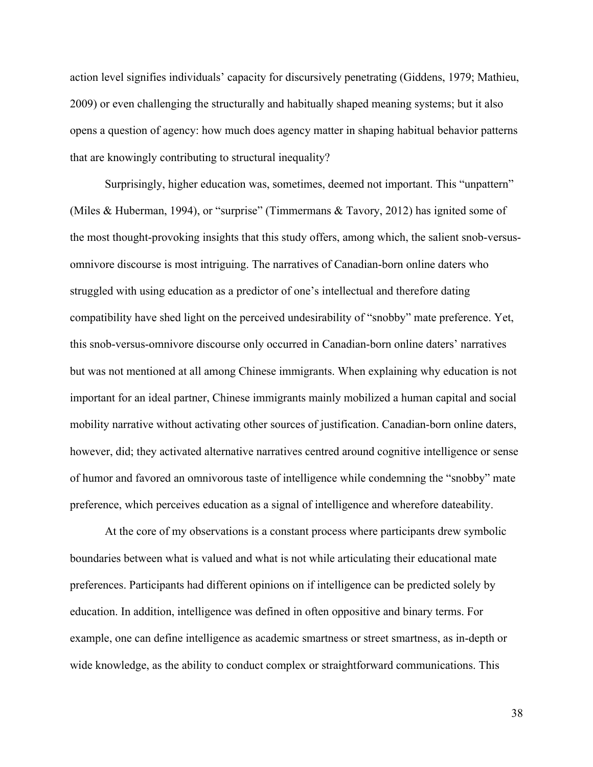action level signifies individuals' capacity for discursively penetrating (Giddens, 1979; Mathieu, 2009) or even challenging the structurally and habitually shaped meaning systems; but it also opens a question of agency: how much does agency matter in shaping habitual behavior patterns that are knowingly contributing to structural inequality?

Surprisingly, higher education was, sometimes, deemed not important. This "unpattern" (Miles & Huberman, 1994), or "surprise" (Timmermans & Tavory, 2012) has ignited some of the most thought-provoking insights that this study offers, among which, the salient snob-versusomnivore discourse is most intriguing. The narratives of Canadian-born online daters who struggled with using education as a predictor of one's intellectual and therefore dating compatibility have shed light on the perceived undesirability of "snobby" mate preference. Yet, this snob-versus-omnivore discourse only occurred in Canadian-born online daters' narratives but was not mentioned at all among Chinese immigrants. When explaining why education is not important for an ideal partner, Chinese immigrants mainly mobilized a human capital and social mobility narrative without activating other sources of justification. Canadian-born online daters, however, did; they activated alternative narratives centred around cognitive intelligence or sense of humor and favored an omnivorous taste of intelligence while condemning the "snobby" mate preference, which perceives education as a signal of intelligence and wherefore dateability.

At the core of my observations is a constant process where participants drew symbolic boundaries between what is valued and what is not while articulating their educational mate preferences. Participants had different opinions on if intelligence can be predicted solely by education. In addition, intelligence was defined in often oppositive and binary terms. For example, one can define intelligence as academic smartness or street smartness, as in-depth or wide knowledge, as the ability to conduct complex or straightforward communications. This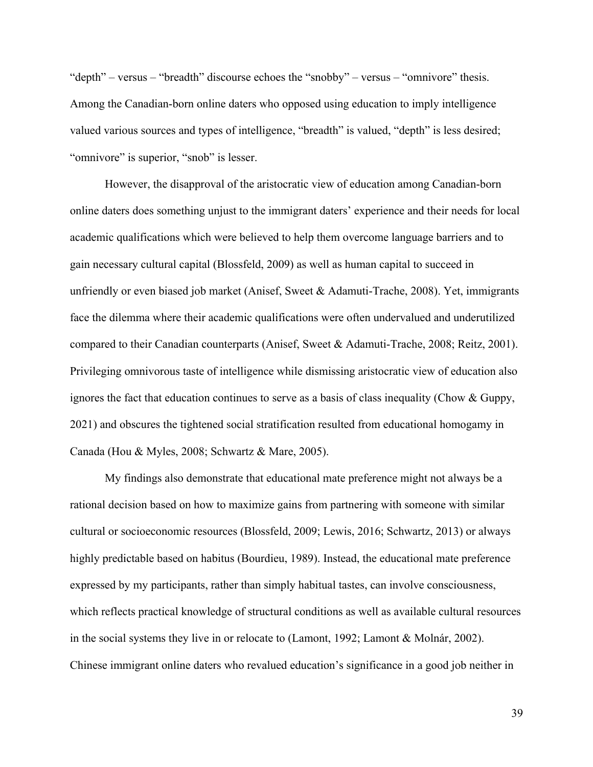"depth" – versus – "breadth" discourse echoes the "snobby" – versus – "omnivore" thesis. Among the Canadian-born online daters who opposed using education to imply intelligence valued various sources and types of intelligence, "breadth" is valued, "depth" is less desired; "omnivore" is superior, "snob" is lesser.

However, the disapproval of the aristocratic view of education among Canadian-born online daters does something unjust to the immigrant daters' experience and their needs for local academic qualifications which were believed to help them overcome language barriers and to gain necessary cultural capital (Blossfeld, 2009) as well as human capital to succeed in unfriendly or even biased job market (Anisef, Sweet & Adamuti-Trache, 2008). Yet, immigrants face the dilemma where their academic qualifications were often undervalued and underutilized compared to their Canadian counterparts (Anisef, Sweet & Adamuti-Trache, 2008; Reitz, 2001). Privileging omnivorous taste of intelligence while dismissing aristocratic view of education also ignores the fact that education continues to serve as a basis of class inequality (Chow & Guppy, 2021) and obscures the tightened social stratification resulted from educational homogamy in Canada (Hou & Myles, 2008; Schwartz & Mare, 2005).

My findings also demonstrate that educational mate preference might not always be a rational decision based on how to maximize gains from partnering with someone with similar cultural or socioeconomic resources (Blossfeld, 2009; Lewis, 2016; Schwartz, 2013) or always highly predictable based on habitus (Bourdieu, 1989). Instead, the educational mate preference expressed by my participants, rather than simply habitual tastes, can involve consciousness, which reflects practical knowledge of structural conditions as well as available cultural resources in the social systems they live in or relocate to (Lamont, 1992; Lamont & Molnár, 2002). Chinese immigrant online daters who revalued education's significance in a good job neither in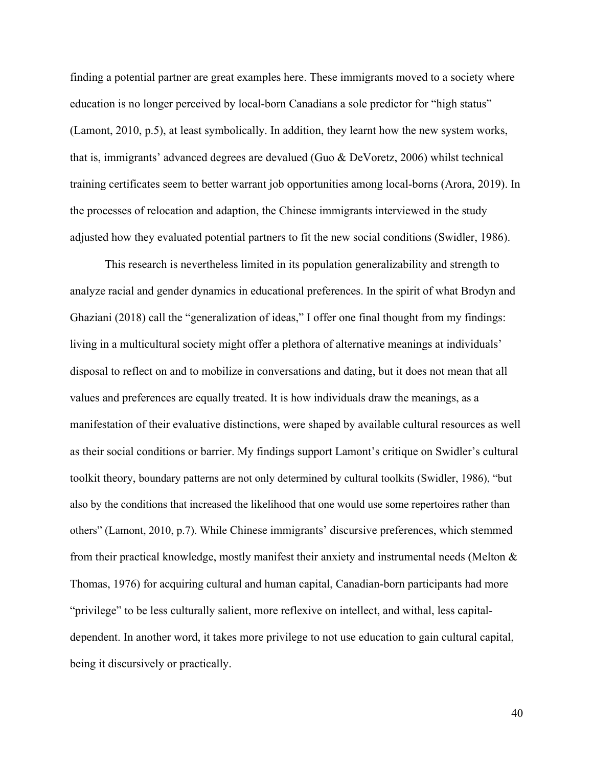finding a potential partner are great examples here. These immigrants moved to a society where education is no longer perceived by local-born Canadians a sole predictor for "high status" (Lamont, 2010, p.5), at least symbolically. In addition, they learnt how the new system works, that is, immigrants' advanced degrees are devalued (Guo & DeVoretz, 2006) whilst technical training certificates seem to better warrant job opportunities among local-borns (Arora, 2019). In the processes of relocation and adaption, the Chinese immigrants interviewed in the study adjusted how they evaluated potential partners to fit the new social conditions (Swidler, 1986).

This research is nevertheless limited in its population generalizability and strength to analyze racial and gender dynamics in educational preferences. In the spirit of what Brodyn and Ghaziani (2018) call the "generalization of ideas," I offer one final thought from my findings: living in a multicultural society might offer a plethora of alternative meanings at individuals' disposal to reflect on and to mobilize in conversations and dating, but it does not mean that all values and preferences are equally treated. It is how individuals draw the meanings, as a manifestation of their evaluative distinctions, were shaped by available cultural resources as well as their social conditions or barrier. My findings support Lamont's critique on Swidler's cultural toolkit theory, boundary patterns are not only determined by cultural toolkits (Swidler, 1986), "but also by the conditions that increased the likelihood that one would use some repertoires rather than others" (Lamont, 2010, p.7). While Chinese immigrants' discursive preferences, which stemmed from their practical knowledge, mostly manifest their anxiety and instrumental needs (Melton  $\&$ Thomas, 1976) for acquiring cultural and human capital, Canadian-born participants had more "privilege" to be less culturally salient, more reflexive on intellect, and withal, less capitaldependent. In another word, it takes more privilege to not use education to gain cultural capital, being it discursively or practically.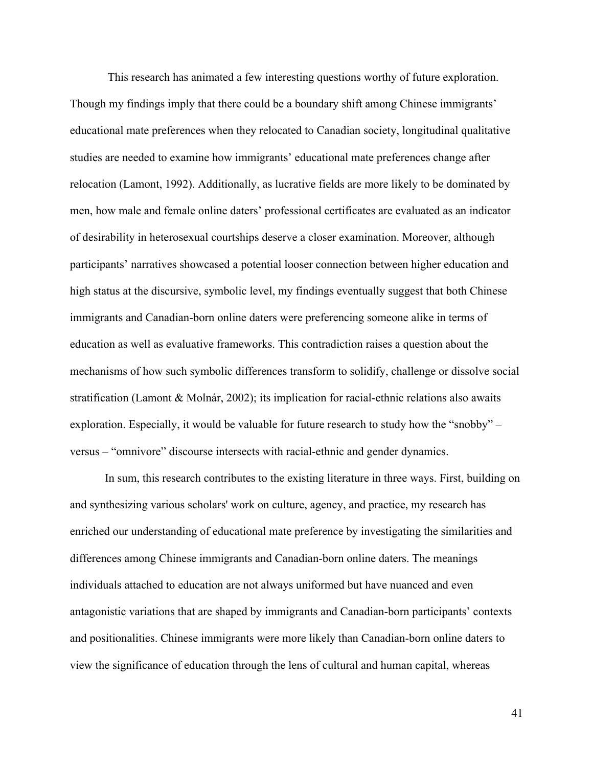This research has animated a few interesting questions worthy of future exploration. Though my findings imply that there could be a boundary shift among Chinese immigrants' educational mate preferences when they relocated to Canadian society, longitudinal qualitative studies are needed to examine how immigrants' educational mate preferences change after relocation (Lamont, 1992). Additionally, as lucrative fields are more likely to be dominated by men, how male and female online daters' professional certificates are evaluated as an indicator of desirability in heterosexual courtships deserve a closer examination. Moreover, although participants' narratives showcased a potential looser connection between higher education and high status at the discursive, symbolic level, my findings eventually suggest that both Chinese immigrants and Canadian-born online daters were preferencing someone alike in terms of education as well as evaluative frameworks. This contradiction raises a question about the mechanisms of how such symbolic differences transform to solidify, challenge or dissolve social stratification (Lamont & Molnár, 2002); its implication for racial-ethnic relations also awaits exploration. Especially, it would be valuable for future research to study how the "snobby" – versus – "omnivore" discourse intersects with racial-ethnic and gender dynamics.

In sum, this research contributes to the existing literature in three ways. First, building on and synthesizing various scholars' work on culture, agency, and practice, my research has enriched our understanding of educational mate preference by investigating the similarities and differences among Chinese immigrants and Canadian-born online daters. The meanings individuals attached to education are not always uniformed but have nuanced and even antagonistic variations that are shaped by immigrants and Canadian-born participants' contexts and positionalities. Chinese immigrants were more likely than Canadian-born online daters to view the significance of education through the lens of cultural and human capital, whereas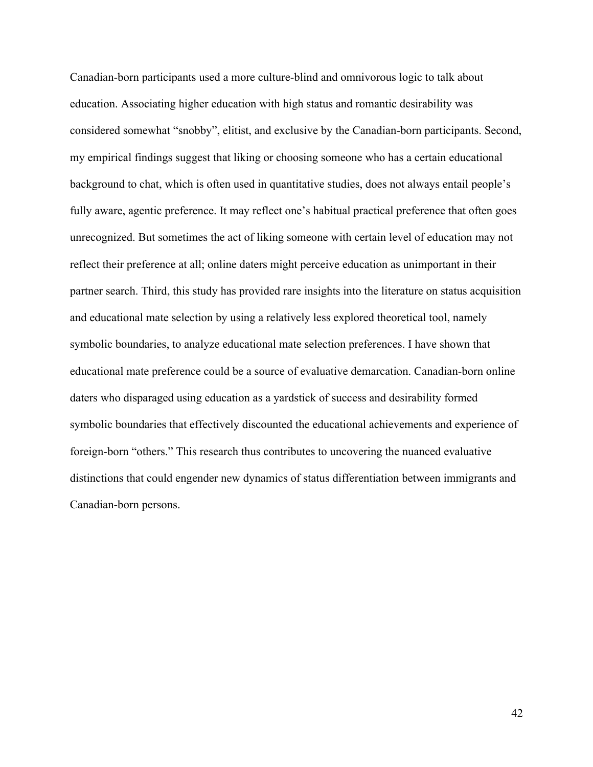Canadian-born participants used a more culture-blind and omnivorous logic to talk about education. Associating higher education with high status and romantic desirability was considered somewhat "snobby", elitist, and exclusive by the Canadian-born participants. Second, my empirical findings suggest that liking or choosing someone who has a certain educational background to chat, which is often used in quantitative studies, does not always entail people's fully aware, agentic preference. It may reflect one's habitual practical preference that often goes unrecognized. But sometimes the act of liking someone with certain level of education may not reflect their preference at all; online daters might perceive education as unimportant in their partner search. Third, this study has provided rare insights into the literature on status acquisition and educational mate selection by using a relatively less explored theoretical tool, namely symbolic boundaries, to analyze educational mate selection preferences. I have shown that educational mate preference could be a source of evaluative demarcation. Canadian-born online daters who disparaged using education as a yardstick of success and desirability formed symbolic boundaries that effectively discounted the educational achievements and experience of foreign-born "others." This research thus contributes to uncovering the nuanced evaluative distinctions that could engender new dynamics of status differentiation between immigrants and Canadian-born persons.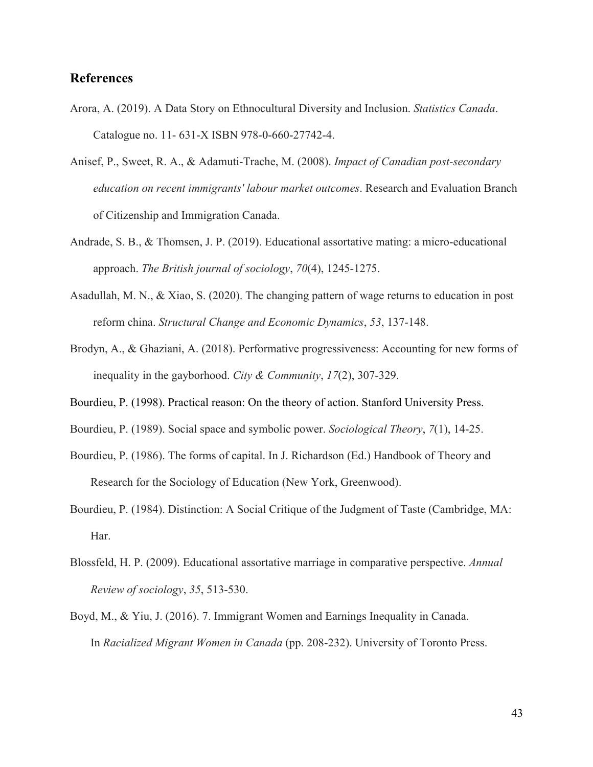## **References**

- Arora, A. (2019). A Data Story on Ethnocultural Diversity and Inclusion. *Statistics Canada*. Catalogue no. 11- 631-X ISBN 978-0-660-27742-4.
- Anisef, P., Sweet, R. A., & Adamuti-Trache, M. (2008). *Impact of Canadian post-secondary education on recent immigrants' labour market outcomes*. Research and Evaluation Branch of Citizenship and Immigration Canada.
- Andrade, S. B., & Thomsen, J. P. (2019). Educational assortative mating: a micro-educational approach. *The British journal of sociology*, *70*(4), 1245-1275.
- Asadullah, M. N., & Xiao, S. (2020). The changing pattern of wage returns to education in post reform china. *Structural Change and Economic Dynamics*, *53*, 137-148.
- Brodyn, A., & Ghaziani, A. (2018). Performative progressiveness: Accounting for new forms of inequality in the gayborhood. *City & Community*, *17*(2), 307-329.
- Bourdieu, P. (1998). Practical reason: On the theory of action. Stanford University Press.
- Bourdieu, P. (1989). Social space and symbolic power. *Sociological Theory*, *7*(1), 14-25.
- Bourdieu, P. (1986). The forms of capital. In J. Richardson (Ed.) Handbook of Theory and Research for the Sociology of Education (New York, Greenwood).
- Bourdieu, P. (1984). Distinction: A Social Critique of the Judgment of Taste (Cambridge, MA: Har.
- Blossfeld, H. P. (2009). Educational assortative marriage in comparative perspective. *Annual Review of sociology*, *35*, 513-530.
- Boyd, M., & Yiu, J. (2016). 7. Immigrant Women and Earnings Inequality in Canada. In *Racialized Migrant Women in Canada* (pp. 208-232). University of Toronto Press.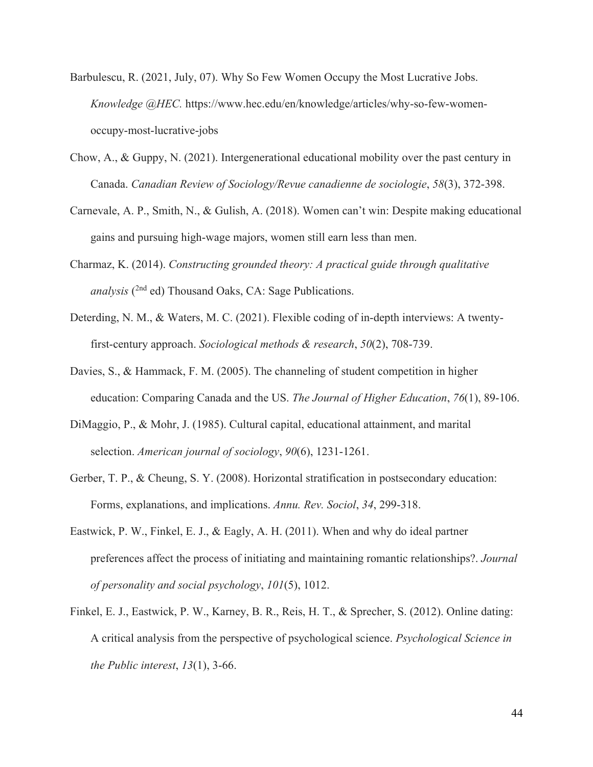- Barbulescu, R. (2021, July, 07). Why So Few Women Occupy the Most Lucrative Jobs. *Knowledge @HEC.* https://www.hec.edu/en/knowledge/articles/why-so-few-womenoccupy-most-lucrative-jobs
- Chow, A., & Guppy, N. (2021). Intergenerational educational mobility over the past century in Canada. *Canadian Review of Sociology/Revue canadienne de sociologie*, *58*(3), 372-398.
- Carnevale, A. P., Smith, N., & Gulish, A. (2018). Women can't win: Despite making educational gains and pursuing high-wage majors, women still earn less than men.
- Charmaz, K. (2014). *Constructing grounded theory: A practical guide through qualitative*  analysis (<sup>2nd</sup> ed) Thousand Oaks, CA: Sage Publications.
- Deterding, N. M., & Waters, M. C. (2021). Flexible coding of in-depth interviews: A twentyfirst-century approach. *Sociological methods & research*, *50*(2), 708-739.
- Davies, S., & Hammack, F. M. (2005). The channeling of student competition in higher education: Comparing Canada and the US. *The Journal of Higher Education*, *76*(1), 89-106.
- DiMaggio, P., & Mohr, J. (1985). Cultural capital, educational attainment, and marital selection. *American journal of sociology*, *90*(6), 1231-1261.
- Gerber, T. P., & Cheung, S. Y. (2008). Horizontal stratification in postsecondary education: Forms, explanations, and implications. *Annu. Rev. Sociol*, *34*, 299-318.
- Eastwick, P. W., Finkel, E. J., & Eagly, A. H. (2011). When and why do ideal partner preferences affect the process of initiating and maintaining romantic relationships?. *Journal of personality and social psychology*, *101*(5), 1012.
- Finkel, E. J., Eastwick, P. W., Karney, B. R., Reis, H. T., & Sprecher, S. (2012). Online dating: A critical analysis from the perspective of psychological science. *Psychological Science in the Public interest*, *13*(1), 3-66.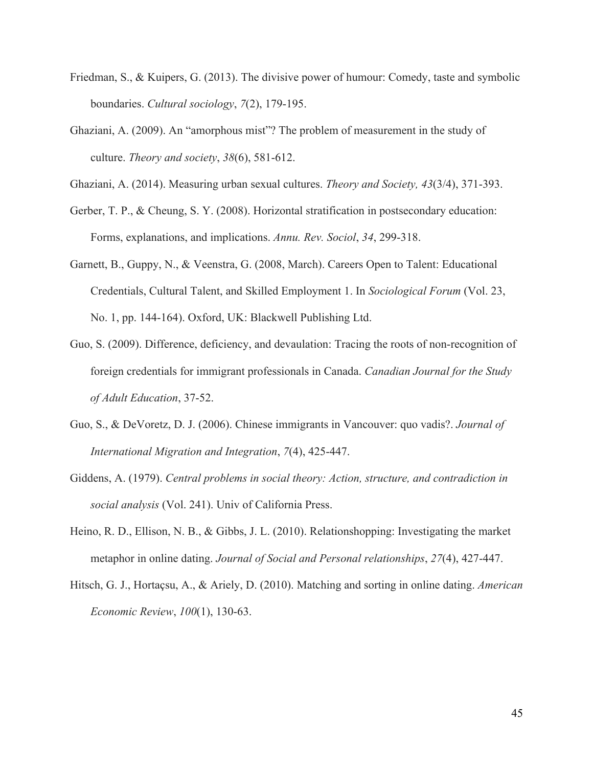- Friedman, S., & Kuipers, G. (2013). The divisive power of humour: Comedy, taste and symbolic boundaries. *Cultural sociology*, *7*(2), 179-195.
- Ghaziani, A. (2009). An "amorphous mist"? The problem of measurement in the study of culture. *Theory and society*, *38*(6), 581-612.
- Ghaziani, A. (2014). Measuring urban sexual cultures. *Theory and Society, 43*(3/4), 371-393.
- Gerber, T. P., & Cheung, S. Y. (2008). Horizontal stratification in postsecondary education: Forms, explanations, and implications. *Annu. Rev. Sociol*, *34*, 299-318.
- Garnett, B., Guppy, N., & Veenstra, G. (2008, March). Careers Open to Talent: Educational Credentials, Cultural Talent, and Skilled Employment 1. In *Sociological Forum* (Vol. 23, No. 1, pp. 144-164). Oxford, UK: Blackwell Publishing Ltd.
- Guo, S. (2009). Difference, deficiency, and devaulation: Tracing the roots of non-recognition of foreign credentials for immigrant professionals in Canada. *Canadian Journal for the Study of Adult Education*, 37-52.
- Guo, S., & DeVoretz, D. J. (2006). Chinese immigrants in Vancouver: quo vadis?. *Journal of International Migration and Integration*, *7*(4), 425-447.
- Giddens, A. (1979). *Central problems in social theory: Action, structure, and contradiction in social analysis* (Vol. 241). Univ of California Press.
- Heino, R. D., Ellison, N. B., & Gibbs, J. L. (2010). Relationshopping: Investigating the market metaphor in online dating. *Journal of Social and Personal relationships*, *27*(4), 427-447.
- Hitsch, G. J., Hortaçsu, A., & Ariely, D. (2010). Matching and sorting in online dating. *American Economic Review*, *100*(1), 130-63.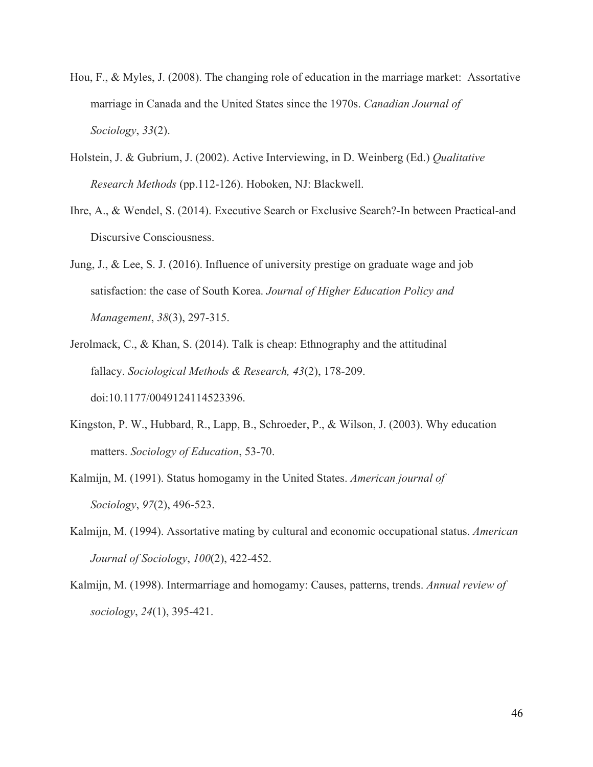- Hou, F., & Myles, J. (2008). The changing role of education in the marriage market: Assortative marriage in Canada and the United States since the 1970s. *Canadian Journal of Sociology*, *33*(2).
- Holstein, J. & Gubrium, J. (2002). Active Interviewing, in D. Weinberg (Ed.) *Qualitative Research Methods* (pp.112-126). Hoboken, NJ: Blackwell.
- Ihre, A., & Wendel, S. (2014). Executive Search or Exclusive Search?-In between Practical-and Discursive Consciousness.
- Jung, J., & Lee, S. J. (2016). Influence of university prestige on graduate wage and job satisfaction: the case of South Korea. *Journal of Higher Education Policy and Management*, *38*(3), 297-315.
- Jerolmack, C., & Khan, S. (2014). Talk is cheap: Ethnography and the attitudinal fallacy. *Sociological Methods & Research, 43*(2), 178-209. doi:10.1177/0049124114523396.
- Kingston, P. W., Hubbard, R., Lapp, B., Schroeder, P., & Wilson, J. (2003). Why education matters. *Sociology of Education*, 53-70.
- Kalmijn, M. (1991). Status homogamy in the United States. *American journal of Sociology*, *97*(2), 496-523.
- Kalmijn, M. (1994). Assortative mating by cultural and economic occupational status. *American Journal of Sociology*, *100*(2), 422-452.
- Kalmijn, M. (1998). Intermarriage and homogamy: Causes, patterns, trends. *Annual review of sociology*, *24*(1), 395-421.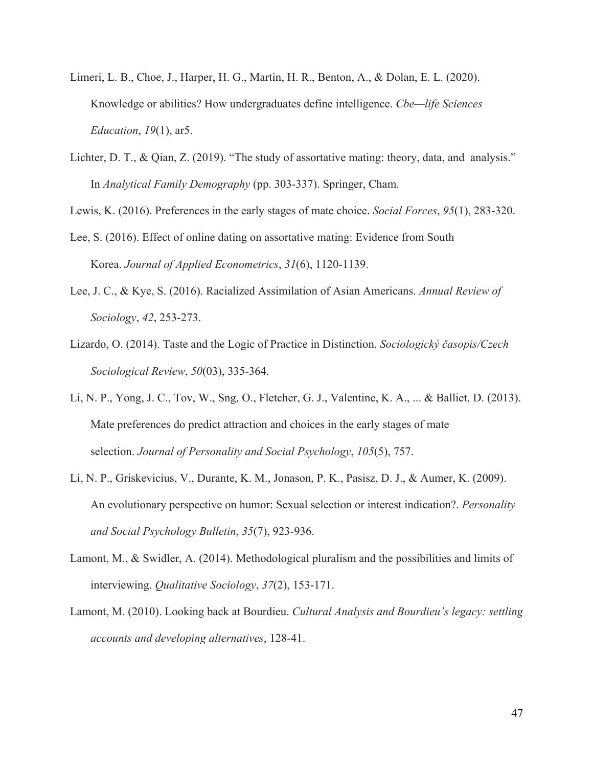- Limeri, L. B., Choe, J., Harper, H. G., Martin, H. R., Benton, A., & Dolan, E. L. (2020). Knowledge or abilities? How undergraduates define intelligence. *Cbe—life Sciences Education*, *19*(1), ar5.
- Lichter, D. T., & Qian, Z. (2019). "The study of assortative mating: theory, data, and analysis." In *Analytical Family Demography* (pp. 303-337). Springer, Cham.

Lewis, K. (2016). Preferences in the early stages of mate choice. *Social Forces*, *95*(1), 283-320.

- Lee, S. (2016). Effect of online dating on assortative mating: Evidence from South Korea. *Journal of Applied Econometrics*, *31*(6), 1120-1139.
- Lee, J. C., & Kye, S. (2016). Racialized Assimilation of Asian Americans. *Annual Review of Sociology*, *42*, 253-273.
- Lizardo, O. (2014). Taste and the Logic of Practice in Distinction. *Sociologický časopis/Czech Sociological Review*, *50*(03), 335-364.
- Li, N. P., Yong, J. C., Tov, W., Sng, O., Fletcher, G. J., Valentine, K. A., ... & Balliet, D. (2013). Mate preferences do predict attraction and choices in the early stages of mate selection. *Journal of Personality and Social Psychology*, *105*(5), 757.
- Li, N. P., Griskevicius, V., Durante, K. M., Jonason, P. K., Pasisz, D. J., & Aumer, K. (2009). An evolutionary perspective on humor: Sexual selection or interest indication?. *Personality and Social Psychology Bulletin*, *35*(7), 923-936.
- Lamont, M., & Swidler, A. (2014). Methodological pluralism and the possibilities and limits of interviewing. *Qualitative Sociology*, *37*(2), 153-171.
- Lamont, M. (2010). Looking back at Bourdieu. *Cultural Analysis and Bourdieu's legacy: settling accounts and developing alternatives*, 128-41.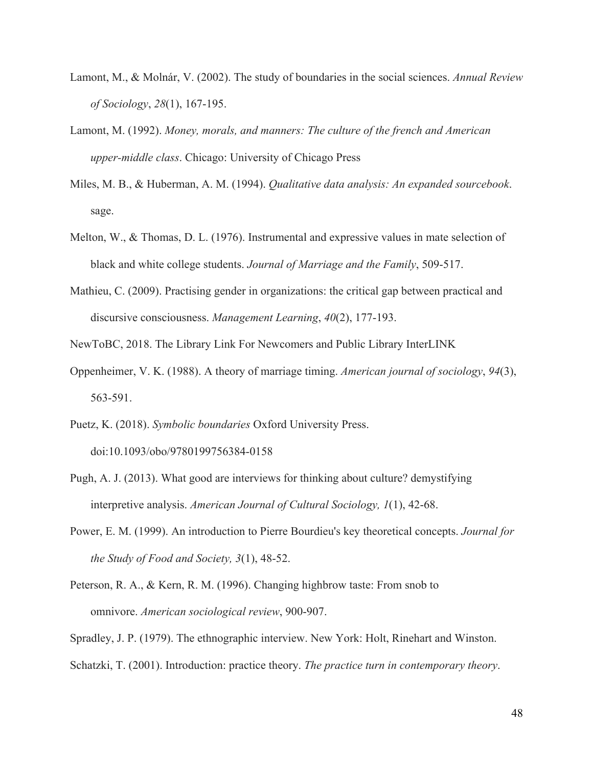- Lamont, M., & Molnár, V. (2002). The study of boundaries in the social sciences. *Annual Review of Sociology*, *28*(1), 167-195.
- Lamont, M. (1992). *Money, morals, and manners: The culture of the french and American upper-middle class*. Chicago: University of Chicago Press
- Miles, M. B., & Huberman, A. M. (1994). *Qualitative data analysis: An expanded sourcebook*. sage.
- Melton, W., & Thomas, D. L. (1976). Instrumental and expressive values in mate selection of black and white college students. *Journal of Marriage and the Family*, 509-517.
- Mathieu, C. (2009). Practising gender in organizations: the critical gap between practical and discursive consciousness. *Management Learning*, *40*(2), 177-193.
- NewToBC, 2018. The Library Link For Newcomers and Public Library InterLINK
- Oppenheimer, V. K. (1988). A theory of marriage timing. *American journal of sociology*, *94*(3), 563-591.
- Puetz, K. (2018). *Symbolic boundaries* Oxford University Press. doi:10.1093/obo/9780199756384-0158
- Pugh, A. J. (2013). What good are interviews for thinking about culture? demystifying interpretive analysis. *American Journal of Cultural Sociology, 1*(1), 42-68.
- Power, E. M. (1999). An introduction to Pierre Bourdieu's key theoretical concepts. *Journal for the Study of Food and Society, 3*(1), 48-52.
- Peterson, R. A., & Kern, R. M. (1996). Changing highbrow taste: From snob to omnivore. *American sociological review*, 900-907.
- Spradley, J. P. (1979). The ethnographic interview. New York: Holt, Rinehart and Winston.
- Schatzki, T. (2001). Introduction: practice theory. *The practice turn in contemporary theory*.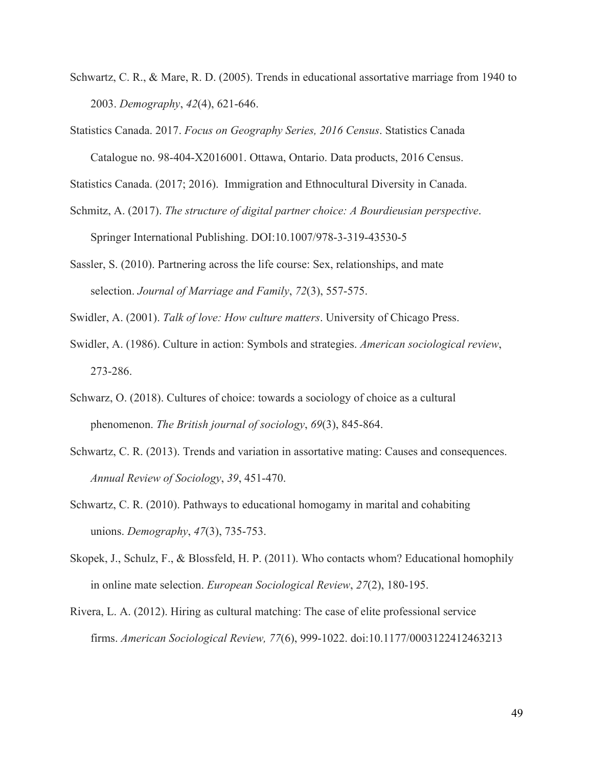- Schwartz, C. R., & Mare, R. D. (2005). Trends in educational assortative marriage from 1940 to 2003. *Demography*, *42*(4), 621-646.
- Statistics Canada. 2017. *Focus on Geography Series, 2016 Census*. Statistics Canada

Catalogue no. 98-404-X2016001. Ottawa, Ontario. Data products, 2016 Census.

Statistics Canada. (2017; 2016). Immigration and Ethnocultural Diversity in Canada.

- Schmitz, A. (2017). *The structure of digital partner choice: A Bourdieusian perspective*. Springer International Publishing. DOI:10.1007/978-3-319-43530-5
- Sassler, S. (2010). Partnering across the life course: Sex, relationships, and mate selection. *Journal of Marriage and Family*, *72*(3), 557-575.

Swidler, A. (2001). *Talk of love: How culture matters*. University of Chicago Press.

- Swidler, A. (1986). Culture in action: Symbols and strategies. *American sociological review*, 273-286.
- Schwarz, O. (2018). Cultures of choice: towards a sociology of choice as a cultural phenomenon. *The British journal of sociology*, *69*(3), 845-864.
- Schwartz, C. R. (2013). Trends and variation in assortative mating: Causes and consequences. *Annual Review of Sociology*, *39*, 451-470.
- Schwartz, C. R. (2010). Pathways to educational homogamy in marital and cohabiting unions. *Demography*, *47*(3), 735-753.
- Skopek, J., Schulz, F., & Blossfeld, H. P. (2011). Who contacts whom? Educational homophily in online mate selection. *European Sociological Review*, *27*(2), 180-195.
- Rivera, L. A. (2012). Hiring as cultural matching: The case of elite professional service firms. *American Sociological Review, 77*(6), 999-1022. doi:10.1177/0003122412463213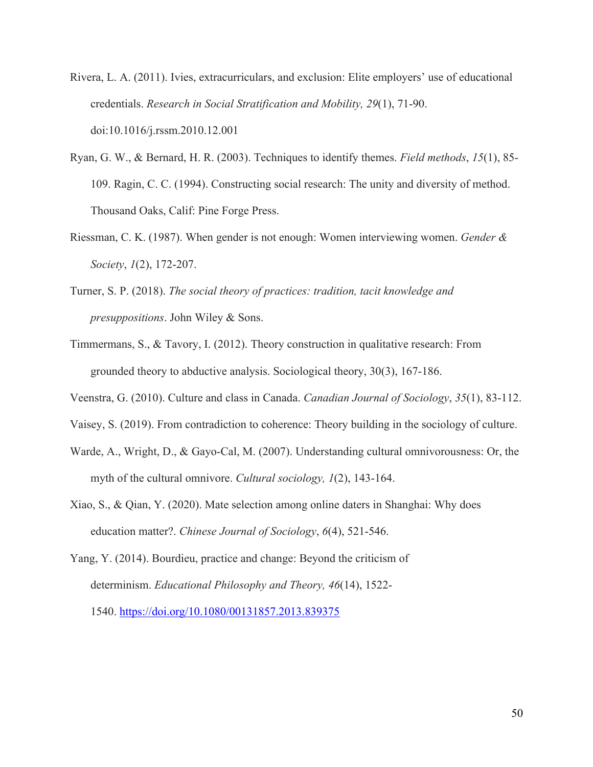- Rivera, L. A. (2011). Ivies, extracurriculars, and exclusion: Elite employers' use of educational credentials. *Research in Social Stratification and Mobility, 29*(1), 71-90. doi:10.1016/j.rssm.2010.12.001
- Ryan, G. W., & Bernard, H. R. (2003). Techniques to identify themes. *Field methods*, *15*(1), 85- 109. Ragin, C. C. (1994). Constructing social research: The unity and diversity of method. Thousand Oaks, Calif: Pine Forge Press.
- Riessman, C. K. (1987). When gender is not enough: Women interviewing women. *Gender & Society*, *1*(2), 172-207.
- Turner, S. P. (2018). *The social theory of practices: tradition, tacit knowledge and presuppositions*. John Wiley & Sons.
- Timmermans, S., & Tavory, I. (2012). Theory construction in qualitative research: From grounded theory to abductive analysis. Sociological theory, 30(3), 167-186.
- Veenstra, G. (2010). Culture and class in Canada. *Canadian Journal of Sociology*, *35*(1), 83-112.
- Vaisey, S. (2019). From contradiction to coherence: Theory building in the sociology of culture.
- Warde, A., Wright, D., & Gayo-Cal, M. (2007). Understanding cultural omnivorousness: Or, the myth of the cultural omnivore. *Cultural sociology, 1*(2), 143-164.
- Xiao, S., & Qian, Y. (2020). Mate selection among online daters in Shanghai: Why does education matter?. *Chinese Journal of Sociology*, *6*(4), 521-546.
- Yang, Y. (2014). Bourdieu, practice and change: Beyond the criticism of determinism. *Educational Philosophy and Theory, 46*(14), 1522- 1540. https://doi.org/10.1080/00131857.2013.839375